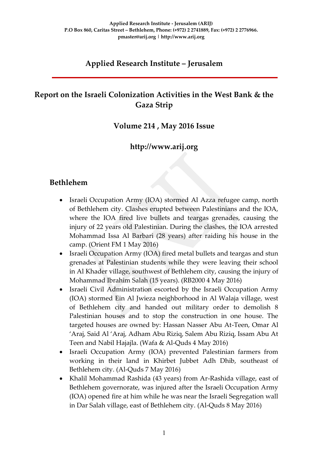### **Applied Research Institute – Jerusalem**

## **Report on the Israeli Colonization Activities in the West Bank & the Gaza Strip**

#### **Volume 214 , May 2016 Issue**

### **http://www.arij.org**

### **Bethlehem**

- Israeli Occupation Army (IOA) stormed Al Azza refugee camp, north of Bethlehem city. Clashes erupted between Palestinians and the IOA, where the IOA fired live bullets and teargas grenades, causing the injury of 22 years old Palestinian. During the clashes, the IOA arrested Mohammad Issa Al Barbari (28 years) after raiding his house in the camp. (Orient FM 1 May 2016)
- Israeli Occupation Army (IOA) fired metal bullets and teargas and stun grenades at Palestinian students while they were leaving their school in Al Khader village, southwest of Bethlehem city, causing the injury of Mohammad Ibrahim Salah (15 years). (RB2000 4 May 2016)
- Israeli Civil Administration escorted by the Israeli Occupation Army (IOA) stormed Ein Al Jwieza neighborhood in Al Walaja village, west of Bethlehem city and handed out military order to demolish 8 Palestinian houses and to stop the construction in one house. The targeted houses are owned by: Hassan Nasser Abu At-Teen, Omar Al 'Araj, Said Al 'Araj, Adham Abu Riziq, Salem Abu Riziq, Issam Abu At Teen and Nabil Hajajla. (Wafa & Al-Quds 4 May 2016)
- Israeli Occupation Army (IOA) prevented Palestinian farmers from working in their land in Khirbet Jubbet Adh Dhib, southeast of Bethlehem city. (Al-Quds 7 May 2016)
- Khalil Mohammad Rashida (43 years) from Ar-Rashida village, east of Bethlehem governorate, was injured after the Israeli Occupation Army (IOA) opened fire at him while he was near the Israeli Segregation wall in Dar Salah village, east of Bethlehem city. (Al-Quds 8 May 2016)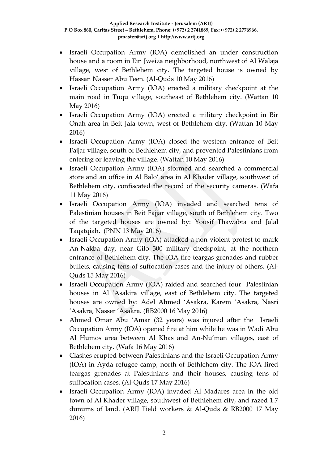- Israeli Occupation Army (IOA) demolished an under construction house and a room in Ein Jweiza neighborhood, northwest of Al Walaja village, west of Bethlehem city. The targeted house is owned by Hassan Nasser Abu Teen. (Al-Quds 10 May 2016)
- Israeli Occupation Army (IOA) erected a military checkpoint at the main road in Tuqu village, southeast of Bethlehem city. (Wattan 10 May 2016)
- Israeli Occupation Army (IOA) erected a military checkpoint in Bir Onah area in Beit Jala town, west of Bethlehem city. (Wattan 10 May 2016)
- Israeli Occupation Army (IOA) closed the western entrance of Beit Fajjar village, south of Bethlehem city, and prevented Palestinians from entering or leaving the village. (Wattan 10 May 2016)
- Israeli Occupation Army (IOA) stormed and searched a commercial store and an office in Al Balo' area in Al Khader village, southwest of Bethlehem city, confiscated the record of the security cameras. (Wafa 11 May 2016)
- Israeli Occupation Army (IOA) invaded and searched tens of Palestinian houses in Beit Fajjar village, south of Bethlehem city. Two of the targeted houses are owned by: Yousif Thawabta and Jalal Taqatqiah. (PNN 13 May 2016)
- Israeli Occupation Army (IOA) attacked a non-violent protest to mark An-Nakba day, near Gilo 300 military checkpoint, at the northern entrance of Bethlehem city. The IOA fire teargas grenades and rubber bullets, causing tens of suffocation cases and the injury of others. (Al-Quds 15 May 2016)
- Israeli Occupation Army (IOA) raided and searched four Palestinian houses in Al 'Asakira village, east of Bethlehem city. The targeted houses are owned by: Adel Ahmed 'Asakra, Karem 'Asakra, Nasri 'Asakra, Nasser 'Asakra. (RB2000 16 May 2016)
- Ahmed Omar Abu 'Amar (32 years) was injured after the Israeli Occupation Army (IOA) opened fire at him while he was in Wadi Abu Al Humos area between Al Khas and An-Nu'man villages, east of Bethlehem city. (Wafa 16 May 2016)
- Clashes erupted between Palestinians and the Israeli Occupation Army (IOA) in Ayda refugee camp, north of Bethlehem city. The IOA fired teargas grenades at Palestinians and their houses, causing tens of suffocation cases. (Al-Quds 17 May 2016)
- Israeli Occupation Army (IOA) invaded Al Madares area in the old town of Al Khader village, southwest of Bethlehem city, and razed 1.7 dunums of land. (ARIJ Field workers & Al-Quds & RB2000 17 May 2016)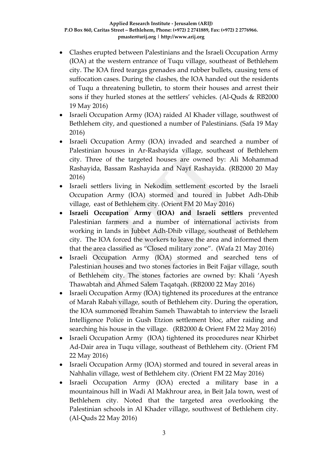- Clashes erupted between Palestinians and the Israeli Occupation Army (IOA) at the western entrance of Tuqu village, southeast of Bethlehem city. The IOA fired teargas grenades and rubber bullets, causing tens of suffocation cases. During the clashes, the IOA handed out the residents of Tuqu a threatening bulletin, to storm their houses and arrest their sons if they hurled stones at the settlers' vehicles. (Al-Quds & RB2000 19 May 2016)
- Israeli Occupation Army (IOA) raided Al Khader village, southwest of Bethlehem city, and questioned a number of Palestinians. (Safa 19 May 2016)
- Israeli Occupation Army (IOA) invaded and searched a number of Palestinian houses in Ar-Rashayida village, southeast of Bethlehem city. Three of the targeted houses are owned by: Ali Mohammad Rashayida, Bassam Rashayida and Nayf Rashayida. (RB2000 20 May 2016)
- Israeli settlers living in Nekodim settlement escorted by the Israeli Occupation Army (IOA) stormed and toured in Jubbet Adh-Dhib village, east of Bethlehem city. (Orient FM 20 May 2016)
- **Israeli Occupation Army (IOA) and Israeli settlers** prevented Palestinian farmers and a number of international activists from working in lands in Jubbet Adh-Dhib village, southeast of Bethlehem city. The IOA forced the workers to leave the area and informed them that the area classified as "Closed military zone". (Wafa 21 May 2016)
- Israeli Occupation Army (IOA) stormed and searched tens of Palestinian houses and two stones factories in Beit Fajjar village, south of Bethlehem city. The stones factories are owned by: Khali 'Ayesh Thawabtah and Ahmed Salem Taqatqah. (RB2000 22 May 2016)
- Israeli Occupation Army (IOA) tightened its procedures at the entrance of Marah Rabah village, south of Bethlehem city. During the operation, the IOA summoned Ibrahim Sameh Thawabtah to interview the Israeli Intelligence Police in Gush Etzion settlement bloc, after raiding and searching his house in the village. (RB2000 & Orient FM 22 May 2016)
- Israeli Occupation Army (IOA) tightened its procedures near Khirbet Ad-Dair area in Tuqu village, southeast of Bethlehem city. (Orient FM 22 May 2016)
- Israeli Occupation Army (IOA) stormed and toured in several areas in Nahhalin village, west of Bethlehem city. (Orient FM 22 May 2016)
- Israeli Occupation Army (IOA) erected a military base in a mountainous hill in Wadi Al Makhrour area, in Beit Jala town, west of Bethlehem city. Noted that the targeted area overlooking the Palestinian schools in Al Khader village, southwest of Bethlehem city. (Al-Quds 22 May 2016)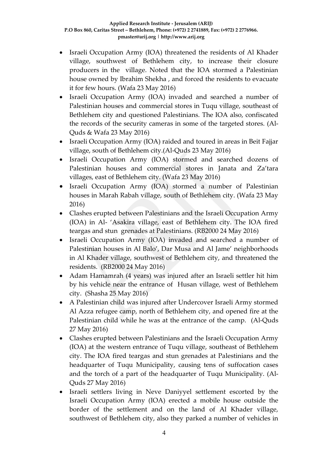- Israeli Occupation Army (IOA) threatened the residents of Al Khader village, southwest of Bethlehem city, to increase their closure producers in the village. Noted that the IOA stormed a Palestinian house owned by Ibrahim Shekha , and forced the residents to evacuate it for few hours. (Wafa 23 May 2016)
- Israeli Occupation Army (IOA) invaded and searched a number of Palestinian houses and commercial stores in Tuqu village, southeast of Bethlehem city and questioned Palestinians. The IOA also, confiscated the records of the security cameras in some of the targeted stores. (Al-Quds & Wafa 23 May 2016)
- Israeli Occupation Army (IOA) raided and toured in areas in Beit Fajjar village, south of Bethlehem city.(Al-Quds 23 May 2016)
- Israeli Occupation Army (IOA) stormed and searched dozens of Palestinian houses and commercial stores in Janata and Za'tara villages, east of Bethlehem city. (Wafa 23 May 2016)
- Israeli Occupation Army (IOA) stormed a number of Palestinian houses in Marah Rabah village, south of Bethlehem city. (Wafa 23 May 2016)
- Clashes erupted between Palestinians and the Israeli Occupation Army (IOA) in Al- 'Asakira village, east of Bethlehem city. The IOA fired teargas and stun grenades at Palestinians. (RB2000 24 May 2016)
- Israeli Occupation Army (IOA) invaded and searched a number of Palestinian houses in Al Balo', Dar Musa and Al Jame' neighborhoods in Al Khader village, southwest of Bethlehem city, and threatened the residents. (RB2000 24 May 2016)
- Adam Hamamrah (4 years) was injured after an Israeli settler hit him by his vehicle near the entrance of Husan village, west of Bethlehem city. (Shasha 25 May 2016)
- A Palestinian child was injured after Undercover Israeli Army stormed Al Azza refugee camp, north of Bethlehem city, and opened fire at the Palestinian child while he was at the entrance of the camp. (Al-Quds 27 May 2016)
- Clashes erupted between Palestinians and the Israeli Occupation Army (IOA) at the western entrance of Tuqu village, southeast of Bethlehem city. The IOA fired teargas and stun grenades at Palestinians and the headquarter of Tuqu Municipality, causing tens of suffocation cases and the torch of a part of the headquarter of Tuqu Municipality. (Al-Quds 27 May 2016)
- Israeli settlers living in Neve Daniyyel settlement escorted by the Israeli Occupation Army (IOA) erected a mobile house outside the border of the settlement and on the land of Al Khader village, southwest of Bethlehem city, also they parked a number of vehicles in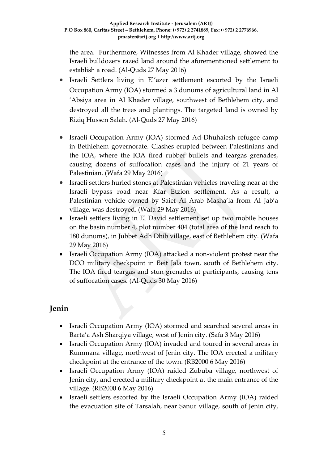the area. Furthermore, Witnesses from Al Khader village, showed the Israeli bulldozers razed land around the aforementioned settlement to establish a road. (Al-Quds 27 May 2016)

- Israeli Settlers living in El'azer settlement escorted by the Israeli Occupation Army (IOA) stormed a 3 dunums of agricultural land in Al 'Absiya area in Al Khader village, southwest of Bethlehem city, and destroyed all the trees and plantings. The targeted land is owned by Riziq Hussen Salah. (Al-Quds 27 May 2016)
- Israeli Occupation Army (IOA) stormed Ad-Dhuhaiesh refugee camp in Bethlehem governorate. Clashes erupted between Palestinians and the IOA, where the IOA fired rubber bullets and teargas grenades, causing dozens of suffocation cases and the injury of 21 years of Palestinian. (Wafa 29 May 2016)
- Israeli settlers hurled stones at Palestinian vehicles traveling near at the Israeli bypass road near Kfar Etzion settlement. As a result, a Palestinian vehicle owned by Saief Al Arab Masha'la from Al Jab'a village, was destroyed. (Wafa 29 May 2016)
- Israeli settlers living in El David settlement set up two mobile houses on the basin number 4, plot number 404 (total area of the land reach to 180 dunums), in Jubbet Adh Dhib village, east of Bethlehem city. (Wafa 29 May 2016)
- Israeli Occupation Army (IOA) attacked a non-violent protest near the DCO military checkpoint in Beit Jala town, south of Bethlehem city. The IOA fired teargas and stun grenades at participants, causing tens of suffocation cases. (Al-Quds 30 May 2016)

## **Jenin**

- Israeli Occupation Army (IOA) stormed and searched several areas in Barta'a Ash Sharqiya village, west of Jenin city. (Safa 3 May 2016)
- Israeli Occupation Army (IOA) invaded and toured in several areas in Rummana village, northwest of Jenin city. The IOA erected a military checkpoint at the entrance of the town. (RB2000 6 May 2016)
- Israeli Occupation Army (IOA) raided Zububa village, northwest of Jenin city, and erected a military checkpoint at the main entrance of the village. (RB2000 6 May 2016)
- Israeli settlers escorted by the Israeli Occupation Army (IOA) raided the evacuation site of Tarsalah, near Sanur village, south of Jenin city,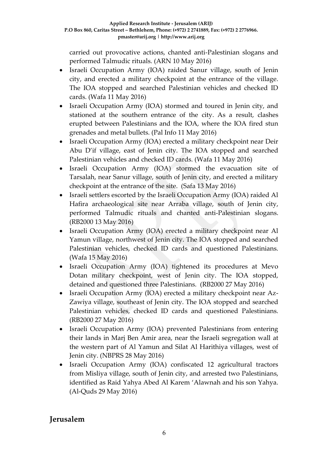carried out provocative actions, chanted anti-Palestinian slogans and performed Talmudic rituals. (ARN 10 May 2016)

- Israeli Occupation Army (IOA) raided Sanur village, south of Jenin city, and erected a military checkpoint at the entrance of the village. The IOA stopped and searched Palestinian vehicles and checked ID cards. (Wafa 11 May 2016)
- Israeli Occupation Army (IOA) stormed and toured in Jenin city, and stationed at the southern entrance of the city. As a result, clashes erupted between Palestinians and the IOA, where the IOA fired stun grenades and metal bullets. (Pal Info 11 May 2016)
- Israeli Occupation Army (IOA) erected a military checkpoint near Deir Abu D'if village, east of Jenin city. The IOA stopped and searched Palestinian vehicles and checked ID cards. (Wafa 11 May 2016)
- Israeli Occupation Army (IOA) stormed the evacuation site of Tarsalah, near Sanur village, south of Jenin city, and erected a military checkpoint at the entrance of the site. (Safa 13 May 2016)
- Israeli settlers escorted by the Israeli Occupation Army (IOA) raided Al Hafira archaeological site near Arraba village, south of Jenin city, performed Talmudic rituals and chanted anti-Palestinian slogans. (RB2000 13 May 2016)
- Israeli Occupation Army (IOA) erected a military checkpoint near Al Yamun village, northwest of Jenin city. The IOA stopped and searched Palestinian vehicles, checked ID cards and questioned Palestinians. (Wafa 15 May 2016)
- Israeli Occupation Army (IOA) tightened its procedures at Mevo Dotan military checkpoint, west of Jenin city. The IOA stopped, detained and questioned three Palestinians. (RB2000 27 May 2016)
- Israeli Occupation Army (IOA) erected a military checkpoint near Az-Zawiya village, southeast of Jenin city. The IOA stopped and searched Palestinian vehicles, checked ID cards and questioned Palestinians. (RB2000 27 May 2016)
- Israeli Occupation Army (IOA) prevented Palestinians from entering their lands in Marj Ben Amir area, near the Israeli segregation wall at the western part of Al Yamun and Silat Al Harithiya villages, west of Jenin city. (NBPRS 28 May 2016)
- Israeli Occupation Army (IOA) confiscated 12 agricultural tractors from Misliya village, south of Jenin city, and arrested two Palestinians, identified as Raid Yahya Abed Al Karem 'Alawnah and his son Yahya. (Al-Quds 29 May 2016)

### **Jerusalem**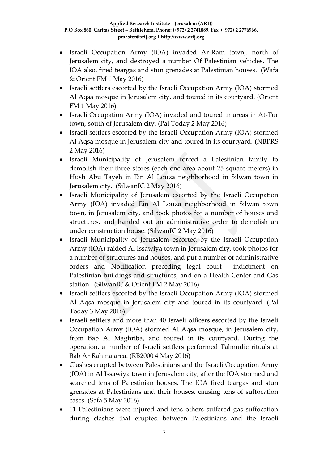- Israeli Occupation Army (IOA) invaded Ar-Ram town,. north of Jerusalem city, and destroyed a number Of Palestinian vehicles. The IOA also, fired teargas and stun grenades at Palestinian houses. (Wafa & Orient FM 1 May 2016)
- Israeli settlers escorted by the Israeli Occupation Army (IOA) stormed Al Aqsa mosque in Jerusalem city, and toured in its courtyard. (Orient FM 1 May 2016)
- Israeli Occupation Army (IOA) invaded and toured in areas in At-Tur town, south of Jerusalem city. (Pal Today 2 May 2016)
- Israeli settlers escorted by the Israeli Occupation Army (IOA) stormed Al Aqsa mosque in Jerusalem city and toured in its courtyard. (NBPRS 2 May 2016)
- Israeli Municipality of Jerusalem forced a Palestinian family to demolish their three stores (each one area about 25 square meters) in Hush Abu Tayeh in Ein Al Louza neighborhood in Silwan town in Jerusalem city. (SilwanIC 2 May 2016)
- Israeli Municipality of Jerusalem escorted by the Israeli Occupation Army (IOA) invaded Ein Al Louza neighborhood in Silwan town town, in Jerusalem city, and took photos for a number of houses and structures, and handed out an administrative order to demolish an under construction house. (SilwanIC 2 May 2016)
- Israeli Municipality of Jerusalem escorted by the Israeli Occupation Army (IOA) raided Al Issawiya town in Jerusalem city, took photos for a number of structures and houses, and put a number of administrative orders and Notification preceding legal court indictment on Palestinian buildings and structures, and on a Health Center and Gas station. (SilwanIC & Orient FM 2 May 2016)
- Israeli settlers escorted by the Israeli Occupation Army (IOA) stormed Al Aqsa mosque in Jerusalem city and toured in its courtyard. (Pal Today 3 May 2016)
- Israeli settlers and more than 40 Israeli officers escorted by the Israeli Occupation Army (IOA) stormed Al Aqsa mosque, in Jerusalem city, from Bab Al Maghriba, and toured in its courtyard. During the operation, a number of Israeli settlers performed Talmudic rituals at Bab Ar Rahma area. (RB2000 4 May 2016)
- Clashes erupted between Palestinians and the Israeli Occupation Army (IOA) in Al Issawiya town in Jerusalem city, after the IOA stormed and searched tens of Palestinian houses. The IOA fired teargas and stun grenades at Palestinians and their houses, causing tens of suffocation cases. (Safa 5 May 2016)
- 11 Palestinians were injured and tens others suffered gas suffocation during clashes that erupted between Palestinians and the Israeli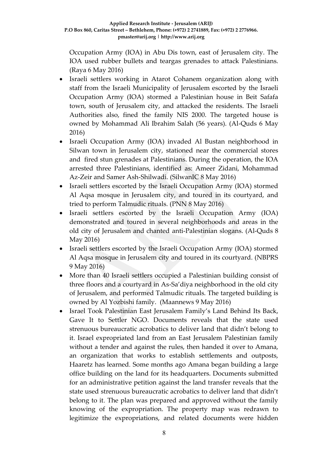Occupation Army (IOA) in Abu Dis town, east of Jerusalem city. The IOA used rubber bullets and teargas grenades to attack Palestinians. (Raya 6 May 2016)

- Israeli settlers working in Atarot Cohanem organization along with staff from the Israeli Municipality of Jerusalem escorted by the Israeli Occupation Army (IOA) stormed a Palestinian house in Beit Safafa town, south of Jerusalem city, and attacked the residents. The Israeli Authorities also, fined the family NIS 2000. The targeted house is owned by Mohammad Ali Ibrahim Salah (56 years). (Al-Quds 6 May 2016)
- Israeli Occupation Army (IOA) invaded Al Bustan neighborhood in Silwan town in Jerusalem city, stationed near the commercial stores and fired stun grenades at Palestinians. During the operation, the IOA arrested three Palestinians, identified as: Ameer Zidani, Mohammad Az-Zeir and Samer Ash-Shilwadi. (SilwanIC 8 May 2016)
- Israeli settlers escorted by the Israeli Occupation Army (IOA) stormed Al Aqsa mosque in Jerusalem city, and toured in its courtyard, and tried to perform Talmudic rituals. (PNN 8 May 2016)
- Israeli settlers escorted by the Israeli Occupation Army (IOA) demonstrated and toured in several neighborhoods and areas in the old city of Jerusalem and chanted anti-Palestinian slogans. (Al-Quds 8 May 2016)
- Israeli settlers escorted by the Israeli Occupation Army (IOA) stormed Al Aqsa mosque in Jerusalem city and toured in its courtyard. (NBPRS 9 May 2016)
- More than 40 Israeli settlers occupied a Palestinian building consist of three floors and a courtyard in As-Sa'diya neighborhood in the old city of Jerusalem, and performed Talmudic rituals. The targeted building is owned by Al Yozbishi family. (Maannews 9 May 2016)
- Israel Took Palestinian East Jerusalem Family's Land Behind Its Back, Gave It to Settler NGO. Documents reveals that the state used strenuous bureaucratic acrobatics to deliver land that didn't belong to it. Israel expropriated land from an East Jerusalem Palestinian family without a tender and against the rules, then handed it over to Amana, an organization that works to establish settlements and outposts, Haaretz has learned. Some months ago Amana began building a large office building on the land for its headquarters. Documents submitted for an administrative petition against the land transfer reveals that the state used strenuous bureaucratic acrobatics to deliver land that didn't belong to it. The plan was prepared and approved without the family knowing of the expropriation. The property map was redrawn to legitimize the expropriations, and related documents were hidden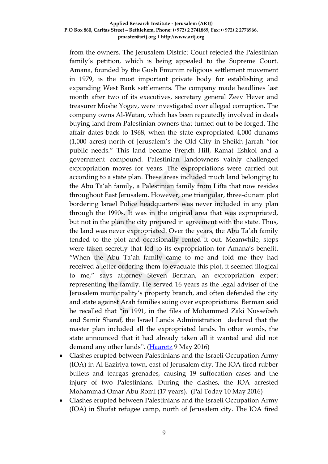from the owners. The Jerusalem District Court rejected the Palestinian family's petition, which is being appealed to the Supreme Court. Amana, founded by the Gush Emunim religious settlement movement in 1979, is the most important private body for establishing and expanding West Bank settlements. The company made headlines last month after two of its executives, secretary general Zeev Hever and treasurer Moshe Yogev, were investigated over alleged corruption. The company owns Al-Watan, which has been repeatedly involved in deals buying land from Palestinian owners that turned out to be forged. The affair dates back to 1968, when the state expropriated 4,000 dunams (1,000 acres) north of Jerusalem's the Old City in Sheikh Jarrah "for public needs." This land became French Hill, Ramat Eshkol and a government compound. Palestinian landowners vainly challenged expropriation moves for years. The expropriations were carried out according to a state plan. These areas included much land belonging to the Abu Ta'ah family, a Palestinian family from Lifta that now resides throughout East Jerusalem. However, one triangular, three-dunam plot bordering Israel Police headquarters was never included in any plan through the 1990s. It was in the original area that was expropriated, but not in the plan the city prepared in agreement with the state. Thus, the land was never expropriated. Over the years, the Abu Ta'ah family tended to the plot and occasionally rented it out. Meanwhile, steps were taken secretly that led to its expropriation for Amana's benefit. "When the Abu Ta'ah family came to me and told me they had received a letter ordering them to evacuate this plot, it seemed illogical to me," says attorney Steven Berman, an expropriation expert representing the family. He served 16 years as the legal adviser of the Jerusalem municipality's property branch, and often defended the city and state against Arab families suing over expropriations. Berman said he recalled that "in 1991, in the files of Mohammed Zaki Nusseibeh and Samir Sharaf, the Israel Lands Administration declared that the master plan included all the expropriated lands. In other words, the state announced that it had already taken all it wanted and did not demand any other lands". [\(Haaretz](:%20http:/www.haaretz.com/israel-news/.premium-1.718612) 9 May 2016)

- Clashes erupted between Palestinians and the Israeli Occupation Army (IOA) in Al Eaziriya town, east of Jerusalem city. The IOA fired rubber bullets and teargas grenades, causing 19 suffocation cases and the injury of two Palestinians. During the clashes, the IOA arrested Mohammad Omar Abu Romi (17 years). (Pal Today 10 May 2016)
- Clashes erupted between Palestinians and the Israeli Occupation Army (IOA) in Shufat refugee camp, north of Jerusalem city. The IOA fired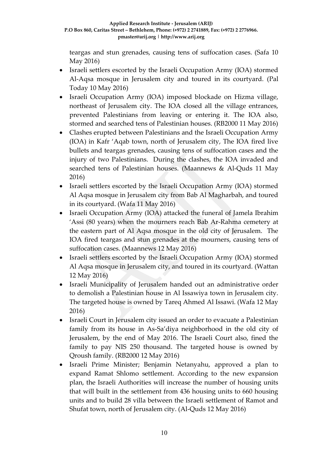teargas and stun grenades, causing tens of suffocation cases. (Safa 10 May 2016)

- Israeli settlers escorted by the Israeli Occupation Army (IOA) stormed Al-Aqsa mosque in Jerusalem city and toured in its courtyard. (Pal Today 10 May 2016)
- Israeli Occupation Army (IOA) imposed blockade on Hizma village, northeast of Jerusalem city. The IOA closed all the village entrances, prevented Palestinians from leaving or entering it. The IOA also, stormed and searched tens of Palestinian houses. (RB2000 11 May 2016)
- Clashes erupted between Palestinians and the Israeli Occupation Army (IOA) in Kafr 'Aqab town, north of Jerusalem city, The IOA fired live bullets and teargas grenades, causing tens of suffocation cases and the injury of two Palestinians. During the clashes, the IOA invaded and searched tens of Palestinian houses. (Maannews & Al-Quds 11 May 2016)
- Israeli settlers escorted by the Israeli Occupation Army (IOA) stormed Al Aqsa mosque in Jerusalem city from Bab Al Magharbah, and toured in its courtyard. (Wafa 11 May 2016)
- Israeli Occupation Army (IOA) attacked the funeral of Jamela Ibrahim 'Assi (80 years) when the mourners reach Bab Ar-Rahma cemetery at the eastern part of Al Aqsa mosque in the old city of Jerusalem. The IOA fired teargas and stun grenades at the mourners, causing tens of suffocation cases. (Maannews 12 May 2016)
- Israeli settlers escorted by the Israeli Occupation Army (IOA) stormed Al Aqsa mosque in Jerusalem city, and toured in its courtyard. (Wattan 12 May 2016)
- Israeli Municipality of Jerusalem handed out an administrative order to demolish a Palestinian house in Al Issawiya town in Jerusalem city. The targeted house is owned by Tareq Ahmed Al Issawi. (Wafa 12 May 2016)
- Israeli Court in Jerusalem city issued an order to evacuate a Palestinian family from its house in As-Sa'diya neighborhood in the old city of Jerusalem, by the end of May 2016. The Israeli Court also, fined the family to pay NIS 250 thousand. The targeted house is owned by Qroush family. (RB2000 12 May 2016)
- Israeli Prime Minister; Benjamin Netanyahu, approved a plan to expand Ramat Shlomo settlement. According to the new expansion plan, the Israeli Authorities will increase the number of housing units that will built in the settlement from 436 housing units to 660 housing units and to build 28 villa between the Israeli settlement of Ramot and Shufat town, north of Jerusalem city. (Al-Quds 12 May 2016)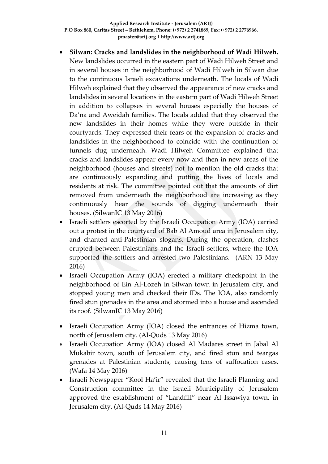- **Silwan: Cracks and landslides in the neighborhood of Wadi Hilweh.**  New landslides occurred in the eastern part of Wadi Hilweh Street and in several houses in the neighborhood of Wadi Hilweh in Silwan due to the continuous Israeli excavations underneath. The locals of Wadi Hilweh explained that they observed the appearance of new cracks and landslides in several locations in the eastern part of Wadi Hilweh Street in addition to collapses in several houses especially the houses of Da'na and Aweidah families. The locals added that they observed the new landslides in their homes while they were outside in their courtyards. They expressed their fears of the expansion of cracks and landslides in the neighborhood to coincide with the continuation of tunnels dug underneath. Wadi Hilweh Committee explained that cracks and landslides appear every now and then in new areas of the neighborhood (houses and streets) not to mention the old cracks that are continuously expanding and putting the lives of locals and residents at risk. The committee pointed out that the amounts of dirt removed from underneath the neighborhood are increasing as they continuously hear the sounds of digging underneath their houses. (SilwanIC 13 May 2016)
- Israeli settlers escorted by the Israeli Occupation Army (IOA) carried out a protest in the courtyard of Bab Al Amoud area in Jerusalem city, and chanted anti-Palestinian slogans. During the operation, clashes erupted between Palestinians and the Israeli settlers, where the IOA supported the settlers and arrested two Palestinians. (ARN 13 May 2016)
- Israeli Occupation Army (IOA) erected a military checkpoint in the neighborhood of Ein Al-Lozeh in Silwan town in Jerusalem city, and stopped young men and checked their IDs. The IOA, also randomly fired stun grenades in the area and stormed into a house and ascended its roof. (SilwanIC 13 May 2016)
- Israeli Occupation Army (IOA) closed the entrances of Hizma town, north of Jerusalem city. (Al-Quds 13 May 2016)
- Israeli Occupation Army (IOA) closed Al Madares street in Jabal Al Mukabir town, south of Jerusalem city, and fired stun and teargas grenades at Palestinian students, causing tens of suffocation cases. (Wafa 14 May 2016)
- Israeli Newspaper "Kool Ha'ir" revealed that the Israeli Planning and Construction committee in the Israeli Municipality of Jerusalem approved the establishment of "Landfill" near Al Issawiya town, in Jerusalem city. (Al-Quds 14 May 2016)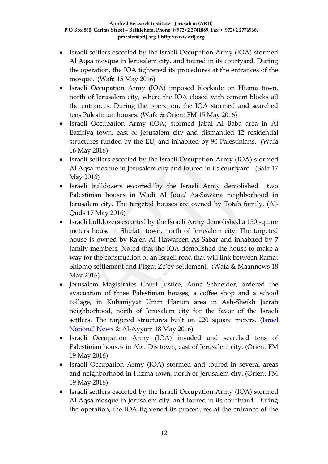- Israeli settlers escorted by the Israeli Occupation Army (IOA) stormed Al Aqsa mosque in Jerusalem city, and toured in its courtyard. During the operation, the IOA tightened its procedures at the entrances of the mosque. (Wafa 15 May 2016)
- Israeli Occupation Army (IOA) imposed blockade on Hizma town, north of Jerusalem city, where the IOA closed with cement blocks all the entrances. During the operation, the IOA stormed and searched tens Palestinian houses. (Wafa & Orient FM 15 May 2016)
- Israeli Occupation Army (IOA) stormed Jabal Al Baba area in Al Eaziriya town, east of Jerusalem city and dismantled 12 residential structures funded by the EU, and inhabited by 90 Palestinians. (Wafa 16 May 2016)
- Israeli settlers escorted by the Israeli Occupation Army (IOA) stormed Al Aqsa mosque in Jerusalem city and toured in its courtyard. (Safa 17 May 2016)
- Israeli bulldozers escorted by the Israeli Army demolished two Palestinian houses in Wadi Al Jouz/ As-Sawana neighborhood in Jerusalem city. The targeted houses are owned by Totah family. (Al-Quds 17 May 2016)
- Israeli bulldozers escorted by the Israeli Army demolished a 150 square meters house in Shufat town, north of Jerusalem city. The targeted house is owned by Rajeh Al Hawareen As-Sabar and inhabited by 7 family members. Noted that the IOA demolished the house to make a way for the construction of an Israeli road that will link between Ramat Shlomo settlement and Pisgat Ze'ev settlement. (Wafa & Maannews 18 May 2016)
- Jerusalem Magistrates Court Justice, Anna Schneider, ordered the evacuation of three Palestinian houses, a coffee shop and a school collage, in Kubaniyyat Umm Harron area in Ash-Sheikh Jarrah neighborhood, north of Jerusalem city for the favor of the Israeli settlers. The targeted structures built on 220 square meters. (*Israel* [National News](http://www.israelnationalnews.com/News/News.aspx/212395#.VzxeT_l94dU) & Al-Ayyam 18 May 2016)
- Israeli Occupation Army (IOA) invaded and searched tens of Palestinian houses in Abu Dis town, east of Jerusalem city. (Orient FM 19 May 2016)
- Israeli Occupation Army (IOA) stormed and toured in several areas and neighborhood in Hizma town, north of Jerusalem city. (Orient FM 19 May 2016)
- Israeli settlers escorted by the Israeli Occupation Army (IOA) stormed Al Aqsa mosque in Jerusalem city, and toured in its courtyard. During the operation, the IOA tightened its procedures at the entrance of the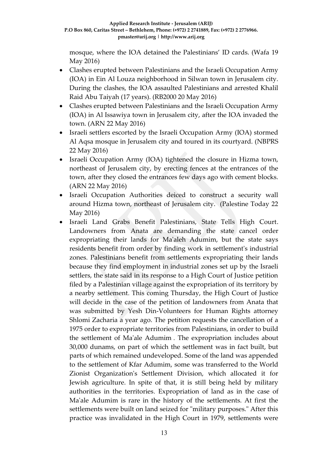mosque, where the IOA detained the Palestinians' ID cards. (Wafa 19 May 2016)

- Clashes erupted between Palestinians and the Israeli Occupation Army (IOA) in Ein Al Louza neighborhood in Silwan town in Jerusalem city. During the clashes, the IOA assaulted Palestinians and arrested Khalil Raid Abu Taiyah (17 years). (RB2000 20 May 2016)
- Clashes erupted between Palestinians and the Israeli Occupation Army (IOA) in Al Issawiya town in Jerusalem city, after the IOA invaded the town. (ARN 22 May 2016)
- Israeli settlers escorted by the Israeli Occupation Army (IOA) stormed Al Aqsa mosque in Jerusalem city and toured in its courtyard. (NBPRS 22 May 2016)
- Israeli Occupation Army (IOA) tightened the closure in Hizma town, northeast of Jerusalem city, by erecting fences at the entrances of the town, after they closed the entrances few days ago with cement blocks. (ARN 22 May 2016)
- Israeli Occupation Authorities deiced to construct a security wall around Hizma town, northeast of Jerusalem city. (Palestine Today 22 May 2016)
- Israeli Land Grabs Benefit Palestinians, State Tells High Court. Landowners from Anata are demanding the state cancel order expropriating their lands for Ma'aleh Adumim, but the state says residents benefit from order by finding work in settlement's industrial zones. Palestinians benefit from settlements expropriating their lands because they find employment in industrial zones set up by the Israeli settlers, the state said in its response to a High Court of Justice petition filed by a Palestinian village against the expropriation of its territory by a nearby settlement. This coming Thursday, the High Court of Justice will decide in the case of the petition of landowners from Anata that was submitted by Yesh Din-Volunteers for Human Rights attorney Shlomi Zacharia a year ago. The petition requests the cancellation of a 1975 order to expropriate territories from Palestinians, in order to build the settlement of Ma'ale Adumim . The expropriation includes about 30,000 dunams, on part of which the settlement was in fact built, but parts of which remained undeveloped. Some of the land was appended to the settlement of Kfar Adumim, some was transferred to the World Zionist Organization's Settlement Division, which allocated it for Jewish agriculture. In spite of that, it is still being held by military authorities in the territories. Expropriation of land as in the case of Ma'ale Adumim is rare in the history of the settlements. At first the settlements were built on land seized for "military purposes." After this practice was invalidated in the High Court in 1979, settlements were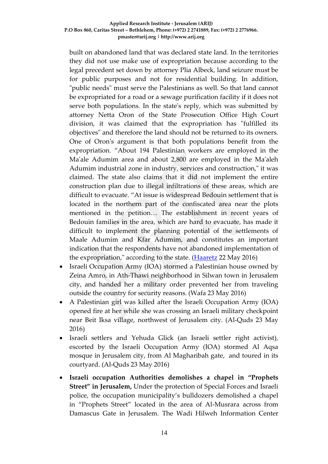built on abandoned land that was declared state land. In the territories they did not use make use of expropriation because according to the legal precedent set down by attorney Plia Albeck, land seizure must be for public purposes and not for residential building. In addition, "public needs" must serve the Palestinians as well. So that land cannot be expropriated for a road or a sewage purification facility if it does not serve both populations. In the state's reply, which was submitted by attorney Netta Oron of the State Prosecution Office High Court division, it was claimed that the expropriation has "fulfilled its objectives" and therefore the land should not be returned to its owners. One of Oron's argument is that both populations benefit from the expropriation. "About 194 Palestinian workers are employed in the Ma'ale Adumim area and about 2,800 are employed in the Ma'aleh Adumim industrial zone in industry, services and construction," it was claimed. The state also claims that it did not implement the entire construction plan due to illegal infiltrations of these areas, which are difficult to evacuate. "At issue is widespread Bedouin settlement that is located in the northern part of the confiscated area near the plots mentioned in the petition… The establishment in recent years of Bedouin families in the area, which are hard to evacuate, has made it difficult to implement the planning potential of the settlements of Maale Adumim and Kfar Adumim, and constitutes an important indication that the respondents have not abandoned implementation of the expropriation," according to the state. [\(Haaretz](http://www.haaretz.com/israel-news/.premium-1.720985) 22 May 2016)

- Israeli Occupation Army (IOA) stormed a Palestinian house owned by Zeina Amro, in Ath-Thawi neighborhood in Silwan town in Jerusalem city, and handed her a military order prevented her from traveling outside the country for security reasons. (Wafa 23 May 2016)
- A Palestinian girl was killed after the Israeli Occupation Army (IOA) opened fire at her while she was crossing an Israeli military checkpoint near Beit Iksa village, northwest of Jerusalem city. (Al-Quds 23 May 2016)
- Israeli settlers and Yehuda Glick (an Israeli settler right activist), escorted by the Israeli Occupation Army (IOA) stormed Al Aqsa mosque in Jerusalem city, from Al Magharibah gate, and toured in its courtyard. (Al-Quds 23 May 2016)
- **Israeli occupation Authorities demolishes a chapel in "Prophets Street" in Jerusalem,** Under the protection of Special Forces and Israeli police, the occupation municipality's bulldozers demolished a chapel in "Prophets Street" located in the area of Al-Musrara across from Damascus Gate in Jerusalem. The Wadi Hilweh Information Center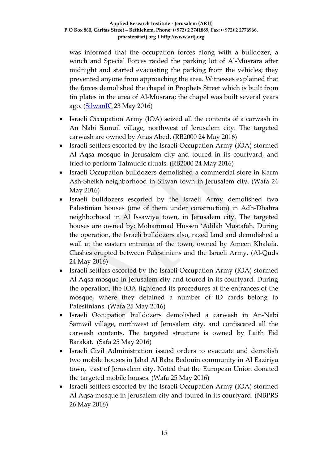was informed that the occupation forces along with a bulldozer, a winch and Special Forces raided the parking lot of Al-Musrara after midnight and started evacuating the parking from the vehicles; they prevented anyone from approaching the area. Witnesses explained that the forces demolished the chapel in Prophets Street which is built from tin plates in the area of Al-Musrara; the chapel was built several years ago. [\(SilwanIC](http://www.silwanic.net/index.php/article/news/76343) 23 May 2016)

- Israeli Occupation Army (IOA) seized all the contents of a carwash in An Nabi Samuil village, northwest of Jerusalem city. The targeted carwash are owned by Anas Abed. (RB2000 24 May 2016)
- Israeli settlers escorted by the Israeli Occupation Army (IOA) stormed Al Aqsa mosque in Jerusalem city and toured in its courtyard, and tried to perform Talmudic rituals. (RB2000 24 May 2016)
- Israeli Occupation bulldozers demolished a commercial store in Karm Ash-Sheikh neighborhood in Silwan town in Jerusalem city. (Wafa 24 May 2016)
- Israeli bulldozers escorted by the Israeli Army demolished two Palestinian houses (one of them under construction) in Adh-Dhahra neighborhood in Al Issawiya town, in Jerusalem city. The targeted houses are owned by: Mohammad Hussen 'Adilah Mustafah. During the operation, the Israeli bulldozers also, razed land and demolished a wall at the eastern entrance of the town, owned by Ameen Khalafa. Clashes erupted between Palestinians and the Israeli Army. (Al-Quds 24 May 2016)
- Israeli settlers escorted by the Israeli Occupation Army (IOA) stormed Al Aqsa mosque in Jerusalem city and toured in its courtyard. During the operation, the IOA tightened its procedures at the entrances of the mosque, where they detained a number of ID cards belong to Palestinians. (Wafa 25 May 2016)
- Israeli Occupation bulldozers demolished a carwash in An-Nabi Samwil village, northwest of Jerusalem city, and confiscated all the carwash contents. The targeted structure is owned by Laith Eid Barakat. (Safa 25 May 2016)
- Israeli Civil Administration issued orders to evacuate and demolish two mobile houses in Jabal Al Baba Bedouin community in Al Eaziriya town, east of Jerusalem city. Noted that the European Union donated the targeted mobile houses. (Wafa 25 May 2016)
- Israeli settlers escorted by the Israeli Occupation Army (IOA) stormed Al Aqsa mosque in Jerusalem city and toured in its courtyard. (NBPRS 26 May 2016)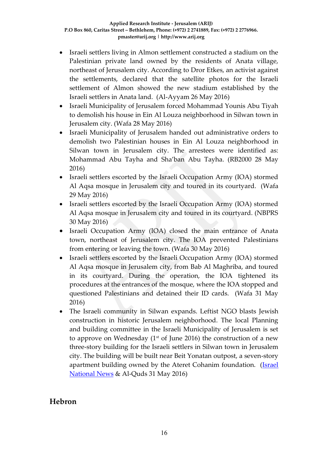- Israeli settlers living in Almon settlement constructed a stadium on the Palestinian private land owned by the residents of Anata village, northeast of Jerusalem city. According to Dror Etkes, an activist against the settlements, declared that the satellite photos for the Israeli settlement of Almon showed the new stadium established by the Israeli settlers in Anata land. (Al-Ayyam 26 May 2016)
- Israeli Municipality of Jerusalem forced Mohammad Younis Abu Tiyah to demolish his house in Ein Al Louza neighborhood in Silwan town in Jerusalem city. (Wafa 28 May 2016)
- Israeli Municipality of Jerusalem handed out administrative orders to demolish two Palestinian houses in Ein Al Louza neighborhood in Silwan town in Jerusalem city. The arrestees were identified as: Mohammad Abu Tayha and Sha'ban Abu Tayha. (RB2000 28 May 2016)
- Israeli settlers escorted by the Israeli Occupation Army (IOA) stormed Al Aqsa mosque in Jerusalem city and toured in its courtyard. (Wafa 29 May 2016)
- Israeli settlers escorted by the Israeli Occupation Army (IOA) stormed Al Aqsa mosque in Jerusalem city and toured in its courtyard. (NBPRS 30 May 2016)
- Israeli Occupation Army (IOA) closed the main entrance of Anata town, northeast of Jerusalem city. The IOA prevented Palestinians from entering or leaving the town. (Wafa 30 May 2016)
- Israeli settlers escorted by the Israeli Occupation Army (IOA) stormed Al Aqsa mosque in Jerusalem city, from Bab Al Maghriba, and toured in its courtyard. During the operation, the IOA tightened its procedures at the entrances of the mosque, where the IOA stopped and questioned Palestinians and detained their ID cards. (Wafa 31 May 2016)
- The Israeli community in Silwan expands. Leftist NGO blasts Jewish construction in historic Jerusalem neighborhood. The local Planning and building committee in the Israeli Municipality of Jerusalem is set to approve on Wednesday ( $1<sup>st</sup>$  of June 2016) the construction of a new three-story building for the Israeli settlers in Silwan town in Jerusalem city. The building will be built near Beit Yonatan outpost, a seven-story apartment building owned by the Ateret Cohanim foundation. [\(Israel](http://www.israelnationalnews.com/News/News.aspx/213038#.V01qevl94dU)  [National News](http://www.israelnationalnews.com/News/News.aspx/213038#.V01qevl94dU) & Al-Quds 31 May 2016)

### **Hebron**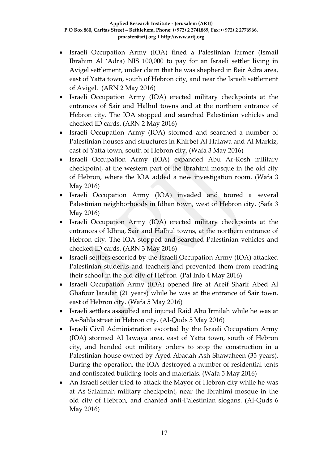- Israeli Occupation Army (IOA) fined a Palestinian farmer (Ismail Ibrahim Al 'Adra) NIS 100,000 to pay for an Israeli settler living in Avigel settlement, under claim that he was shepherd in Beir Adra area, east of Yatta town, south of Hebron city, and near the Israeli settlement of Avigel. (ARN 2 May 2016)
- Israeli Occupation Army (IOA) erected military checkpoints at the entrances of Sair and Halhul towns and at the northern entrance of Hebron city. The IOA stopped and searched Palestinian vehicles and checked ID cards. (ARN 2 May 2016)
- Israeli Occupation Army (IOA) stormed and searched a number of Palestinian houses and structures in Khirbet Al Halawa and Al Markiz, east of Yatta town, south of Hebron city. (Wafa 3 May 2016)
- Israeli Occupation Army (IOA) expanded Abu Ar-Rosh military checkpoint, at the western part of the Ibrahimi mosque in the old city of Hebron, where the IOA added a new investigation room. (Wafa 3 May 2016)
- Israeli Occupation Army (IOA) invaded and toured a several Palestinian neighborhoods in Idhan town, west of Hebron city. (Safa 3 May 2016)
- Israeli Occupation Army (IOA) erected military checkpoints at the entrances of Idhna, Sair and Halhul towns, at the northern entrance of Hebron city. The IOA stopped and searched Palestinian vehicles and checked ID cards. (ARN 3 May 2016)
- Israeli settlers escorted by the Israeli Occupation Army (IOA) attacked Palestinian students and teachers and prevented them from reaching their school in the old city of Hebron (Pal Info 4 May 2016)
- Israeli Occupation Army (IOA) opened fire at Areif Sharif Abed Al Ghafour Jaradat (21 years) while he was at the entrance of Sair town, east of Hebron city. (Wafa 5 May 2016)
- Israeli settlers assaulted and injured Raid Abu Irmilah while he was at As-Sahla street in Hebron city. (Al-Quds 5 May 2016)
- Israeli Civil Administration escorted by the Israeli Occupation Army (IOA) stormed Al Jawaya area, east of Yatta town, south of Hebron city, and handed out military orders to stop the construction in a Palestinian house owned by Ayed Abadah Ash-Shawaheen (35 years). During the operation, the IOA destroyed a number of residential tents and confiscated building tools and materials. (Wafa 5 May 2016)
- An Israeli settler tried to attack the Mayor of Hebron city while he was at As Salaimah military checkpoint, near the Ibrahimi mosque in the old city of Hebron, and chanted anti-Palestinian slogans. (Al-Quds 6 May 2016)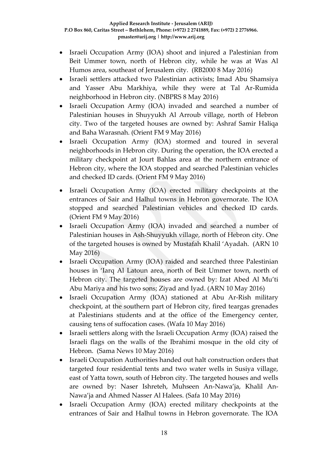- Israeli Occupation Army (IOA) shoot and injured a Palestinian from Beit Ummer town, north of Hebron city, while he was at Was Al Humos area, southeast of Jerusalem city. (RB2000 8 May 2016)
- Israeli settlers attacked two Palestinian activists; Imad Abu Shamsiya and Yasser Abu Markhiya, while they were at Tal Ar-Rumida neighborhood in Hebron city. (NBPRS 8 May 2016)
- Israeli Occupation Army (IOA) invaded and searched a number of Palestinian houses in Shuyyukh Al Arroub village, north of Hebron city. Two of the targeted houses are owned by: Ashraf Samir Haliqa and Baha Warasnah. (Orient FM 9 May 2016)
- Israeli Occupation Army (IOA) stormed and toured in several neighborhoods in Hebron city. During the operation, the IOA erected a military checkpoint at Jourt Bahlas area at the northern entrance of Hebron city, where the IOA stopped and searched Palestinian vehicles and checked ID cards. (Orient FM 9 May 2016)
- Israeli Occupation Army (IOA) erected military checkpoints at the entrances of Sair and Halhul towns in Hebron governorate. The IOA stopped and searched Palestinian vehicles and checked ID cards. (Orient FM 9 May 2016)
- Israeli Occupation Army (IOA) invaded and searched a number of Palestinian houses in Ash-Shuyyukh village, north of Hebron city. One of the targeted houses is owned by Mustafah Khalil 'Ayadah. (ARN 10 May 2016)
- Israeli Occupation Army (IOA) raided and searched three Palestinian houses in 'Iarq Al Latoun area, north of Beit Ummer town, north of Hebron city. The targeted houses are owned by: Izat Abed Al Mu'ti Abu Mariya and his two sons; Ziyad and Iyad. (ARN 10 May 2016)
- Israeli Occupation Army (IOA) stationed at Abu Ar-Rish military checkpoint, at the southern part of Hebron city, fired teargas grenades at Palestinians students and at the office of the Emergency center, causing tens of suffocation cases. (Wafa 10 May 2016)
- Israeli settlers along with the Israeli Occupation Army (IOA) raised the Israeli flags on the walls of the Ibrahimi mosque in the old city of Hebron. (Sama News 10 May 2016)
- Israeli Occupation Authorities handed out halt construction orders that targeted four residential tents and two water wells in Susiya village, east of Yatta town, south of Hebron city. The targeted houses and wells are owned by: Naser Ishreteh, Muhseen An-Nawa'ja, Khalil An-Nawa'ja and Ahmed Nasser Al Halees. (Safa 10 May 2016)
- Israeli Occupation Army (IOA) erected military checkpoints at the entrances of Sair and Halhul towns in Hebron governorate. The IOA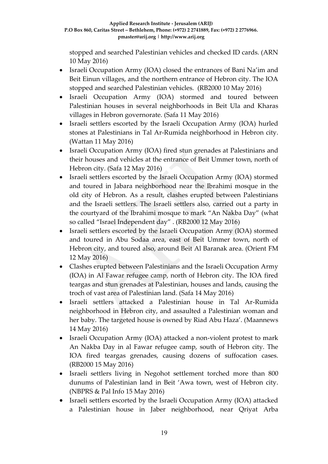stopped and searched Palestinian vehicles and checked ID cards. (ARN 10 May 2016)

- Israeli Occupation Army (IOA) closed the entrances of Bani Na'im and Beit Einun villages, and the northern entrance of Hebron city. The IOA stopped and searched Palestinian vehicles. (RB2000 10 May 2016)
- Israeli Occupation Army (IOA) stormed and toured between Palestinian houses in several neighborhoods in Beit Ula and Kharas villages in Hebron governorate. (Safa 11 May 2016)
- Israeli settlers escorted by the Israeli Occupation Army (IOA) hurled stones at Palestinians in Tal Ar-Rumida neighborhood in Hebron city. (Wattan 11 May 2016)
- Israeli Occupation Army (IOA) fired stun grenades at Palestinians and their houses and vehicles at the entrance of Beit Ummer town, north of Hebron city. (Safa 12 May 2016)
- Israeli settlers escorted by the Israeli Occupation Army (IOA) stormed and toured in Jabara neighborhood near the Ibrahimi mosque in the old city of Hebron. As a result, clashes erupted between Palestinians and the Israeli settlers. The Israeli settlers also, carried out a party in the courtyard of the Ibrahimi mosque to mark "An Nakba Day" (what so called "Israel Independent day" . (RB2000 12 May 2016)
- Israeli settlers escorted by the Israeli Occupation Army (IOA) stormed and toured in Abu Sodaa area, east of Beit Ummer town, north of Hebron city, and toured also, around Beit Al Baranak area. (Orient FM 12 May 2016)
- Clashes erupted between Palestinians and the Israeli Occupation Army (IOA) in Al Fawar refugee camp, north of Hebron city. The IOA fired teargas and stun grenades at Palestinian, houses and lands, causing the troch of vast area of Palestinian land. (Safa 14 May 2016)
- Israeli settlers attacked a Palestinian house in Tal Ar-Rumida neighborhood in Hebron city, and assaulted a Palestinian woman and her baby. The targeted house is owned by Riad Abu Haza'. (Maannews 14 May 2016)
- Israeli Occupation Army (IOA) attacked a non-violent protest to mark An Nakba Day in al Fawar refugee camp, south of Hebron city. The IOA fired teargas grenades, causing dozens of suffocation cases. (RB2000 15 May 2016)
- Israeli settlers living in Negohot settlement torched more than 800 dunums of Palestinian land in Beit 'Awa town, west of Hebron city. (NBPRS & Pal Info 15 May 2016)
- Israeli settlers escorted by the Israeli Occupation Army (IOA) attacked a Palestinian house in Jaber neighborhood, near Qriyat Arba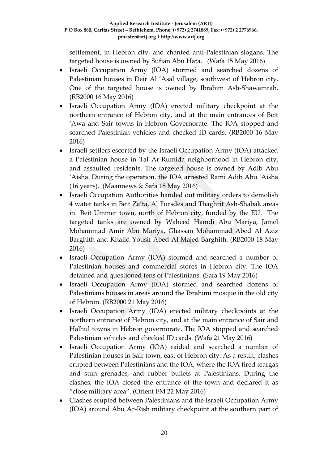settlement, in Hebron city, and chanted anti-Palestinian slogans. The targeted house is owned by Sufian Abu Hata. (Wafa 15 May 2016)

- Israeli Occupation Army (IOA) stormed and searched dozens of Palestinian houses in Deir Al 'Asal village, southwest of Hebron city. One of the targeted house is owned by Ibrahim Ash-Shawamrah. (RB2000 16 May 2016)
- Israeli Occupation Army (IOA) erected military checkpoint at the northern entrance of Hebron city, and at the main entrances of Beit 'Awa and Sair towns in Hebron Governorate. The IOA stopped and searched Palestinian vehicles and checked ID cards. (RB2000 16 May 2016)
- Israeli settlers escorted by the Israeli Occupation Army (IOA) attacked a Palestinian house in Tal Ar-Rumida neighborhood in Hebron city, and assaulted residents. The targeted house is owned by Adib Abu 'Aisha. During the operation, the IOA arrested Rami Adib Abu 'Aisha (16 years). (Maannews & Safa 18 May 2016)
- Israeli Occupation Authorities handed out military orders to demolish 4 water tanks in Beit Za'ta, Al Fursdes and Thaghrit Ash-Shabak areas in Beit Ummer town, north of Hebron city, funded by the EU. The targeted tanks are owned by Waheed Hamdi Abu Mariya, Jamel Mohammad Amir Abu Mariya, Ghassan Mohammad Abed Al Aziz Barghith and Khalid Yousif Abed Al Majed Barghith. (RB2000 18 May 2016)
- Israeli Occupation Army (IOA) stormed and searched a number of Palestinian houses and commercial stores in Hebron city. The IOA detained and questioned tens of Palestinians. (Safa 19 May 2016)
- Israeli Occupation Army (IOA) stormed and searched dozens of Palestinians houses in areas around the Ibrahimi mosque in the old city of Hebron. (RB2000 21 May 2016)
- Israeli Occupation Army (IOA) erected military checkpoints at the northern entrance of Hebron city, and at the main entrance of Sair and Halhul towns in Hebron governorate. The IOA stopped and searched Palestinian vehicles and checked ID cards. (Wafa 21 May 2016)
- Israeli Occupation Army (IOA) raided and searched a number of Palestinian houses in Sair town, east of Hebron city. As a result, clashes erupted between Palestinians and the IOA, where the IOA fired teargas and stun grenades, and rubber bullets at Palestinians. During the clashes, the IOA closed the entrance of the town and declared it as "close military area". (Orient FM 22 May 2016)
- Clashes erupted between Palestinians and the Israeli Occupation Army (IOA) around Abu Ar-Rish military checkpoint at the southern part of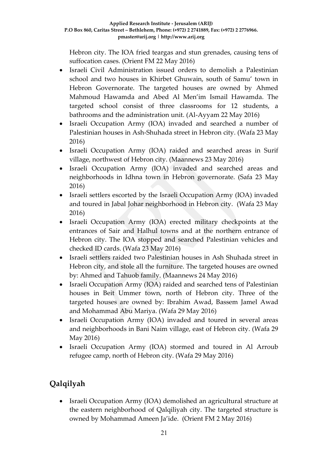Hebron city. The IOA fried teargas and stun grenades, causing tens of suffocation cases. (Orient FM 22 May 2016)

- Israeli Civil Administration issued orders to demolish a Palestinian school and two houses in Khirbet Ghuwain, south of Samu' town in Hebron Governorate. The targeted houses are owned by Ahmed Mahmoud Hawamda and Abed Al Men'im Ismail Hawamda. The targeted school consist of three classrooms for 12 students, a bathrooms and the administration unit. (Al-Ayyam 22 May 2016)
- Israeli Occupation Army (IOA) invaded and searched a number of Palestinian houses in Ash-Shuhada street in Hebron city. (Wafa 23 May 2016)
- Israeli Occupation Army (IOA) raided and searched areas in Surif village, northwest of Hebron city. (Maannews 23 May 2016)
- Israeli Occupation Army (IOA) invaded and searched areas and neighborhoods in Idhna town in Hebron governorate. (Safa 23 May 2016)
- Israeli settlers escorted by the Israeli Occupation Army (IOA) invaded and toured in Jabal Johar neighborhood in Hebron city. (Wafa 23 May 2016)
- Israeli Occupation Army (IOA) erected military checkpoints at the entrances of Sair and Halhul towns and at the northern entrance of Hebron city. The IOA stopped and searched Palestinian vehicles and checked ID cards. (Wafa 23 May 2016)
- Israeli settlers raided two Palestinian houses in Ash Shuhada street in Hebron city, and stole all the furniture. The targeted houses are owned by: Ahmed and Tahuob family. (Maannews 24 May 2016)
- Israeli Occupation Army (IOA) raided and searched tens of Palestinian houses in Beit Ummer town, north of Hebron city. Three of the targeted houses are owned by: Ibrahim Awad, Bassem Jamel Awad and Mohammad Abu Mariya. (Wafa 29 May 2016)
- Israeli Occupation Army (IOA) invaded and toured in several areas and neighborhoods in Bani Naim village, east of Hebron city. (Wafa 29 May 2016)
- Israeli Occupation Army (IOA) stormed and toured in Al Arroub refugee camp, north of Hebron city. (Wafa 29 May 2016)

# **Qalqilyah**

• Israeli Occupation Army (IOA) demolished an agricultural structure at the eastern neighborhood of Qalqiliyah city. The targeted structure is owned by Mohammad Ameen Ja'ide. (Orient FM 2 May 2016)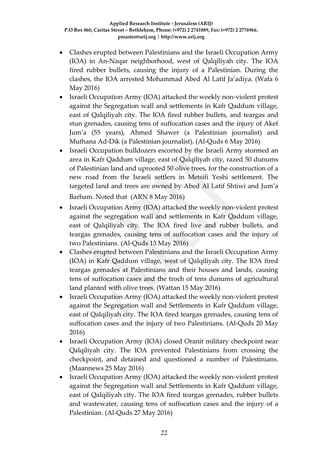- Clashes erupted between Palestinians and the Israeli Occupation Army (IOA) in An-Naqar neighborhood, west of Qalqiliyah city. The IOA fired rubber bullets, causing the injury of a Palestinian. During the clashes, the IOA arrested Mohammad Abed Al Latif Ja'adiya. (Wafa 6 May 2016)
- Israeli Occupation Army (IOA) attacked the weekly non-violent protest against the Segregation wall and settlements in Kafr Qaddum village, east of Qalqiliyah city. The IOA fired rubber bullets, and teargas and stun grenades, causing tens of suffocation cases and the injury of Akef Jum'a (55 years), Ahmed Shawer (a Palestinian journalist) and Muthana Ad-Dik (a Palestinian journalist). (Al-Quds 6 May 2016)
- Israeli Occupation bulldozers escorted by the Israeli Army stormed an area in Kafr Qaddum village, east of Qalqiliyah city, razed 50 dunums of Palestinian land and uprooted 50 olive trees, for the construction of a new road from the Israeli settlers in Metsifi Yeshi settlement. The targeted land and trees are owned by Abed Al Latif Shtiwi and Jum'a Barham. Noted that (ARN 8 May 2016)
- Israeli Occupation Army (IOA) attacked the weekly non-violent protest against the segregation wall and settlements in Kafr Qaddum village, east of Qalqiliyah city. The IOA fired live and rubber bullets, and teargas grenades, causing tens of suffocation cases and the injury of two Palestinians. (Al-Quds 13 May 2016)
- Clashes erupted between Palestinians and the Israeli Occupation Army (IOA) in Kafr Qaddum village, west of Qalqiliyah city. The IOA fired teargas grenades at Palestinians and their houses and lands, causing tens of suffocation cases and the troch of tens dunums of agricultural land planted with olive trees. (Wattan 15 May 2016)
- Israeli Occupation Army (IOA) attacked the weekly non-violent protest against the Segregation wall and Settlements in Kafr Qaddum village, east of Qalqiliyah city. The IOA fired teargas grenades, causing tens of suffocation cases and the injury of two Palestinians. (Al-Quds 20 May 2016)
- Israeli Occupation Army (IOA) closed Oranit military checkpoint near Qalqiliyah city. The IOA prevented Palestinians from crossing the checkpoint, and detained and questioned a number of Palestinians. (Maannews 25 May 2016)
- Israeli Occupation Army (IOA) attacked the weekly non-violent protest against the Segregation wall and Settlements in Kafr Qaddum village, east of Qalqiliyah city. The IOA fired teargas grenades, rubber bullets and wastewater, causing tens of suffocation cases and the injury of a Palestinian. (Al-Quds 27 May 2016)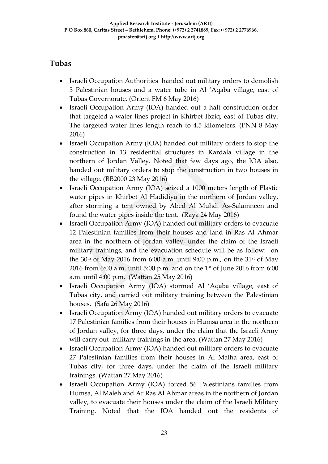### **Tubas**

- Israeli Occupation Authorities handed out military orders to demolish 5 Palestinian houses and a water tube in Al 'Aqaba village, east of Tubas Governorate. (Orient FM 6 May 2016)
- Israeli Occupation Army (IOA) handed out a halt construction order that targeted a water lines project in Khirbet Ibziq, east of Tubas city. The targeted water lines length reach to 4.5 kilometers. (PNN 8 May 2016)
- Israeli Occupation Army (IOA) handed out military orders to stop the construction in 13 residential structures in Kardala village in the northern of Jordan Valley. Noted that few days ago, the IOA also, handed out military orders to stop the construction in two houses in the village. (RB2000 23 May 2016)
- Israeli Occupation Army (IOA) seized a 1000 meters length of Plastic water pipes in Khirbet Al Hadidiya in the northern of Jordan valley, after storming a tent owned by Abed Al Muhdi As-Salamneen and found the water pipes inside the tent. (Raya 24 May 2016)
- Israeli Occupation Army (IOA) handed out military orders to evacuate 12 Palestinian families from their houses and land in Ras Al Ahmar area in the northern of Jordan valley, under the claim of the Israeli military trainings, and the evacuation schedule will be as follow: on the 30<sup>th</sup> of May 2016 from 6:00 a.m. until 9:00 p.m., on the 31<sup>st</sup> of May 2016 from 6:00 a.m. until 5:00 p.m. and on the 1st of June 2016 from 6:00 a.m. until 4:00 p.m. (Wattan 25 May 2016)
- Israeli Occupation Army (IOA) stormed Al 'Aqaba village, east of Tubas city, and carried out military training between the Palestinian houses. (Safa 26 May 2016)
- Israeli Occupation Army (IOA) handed out military orders to evacuate 17 Palestinian families from their houses in Humsa area in the northern of Jordan valley, for three days, under the claim that the Israeli Army will carry out military trainings in the area. (Wattan 27 May 2016)
- Israeli Occupation Army (IOA) handed out military orders to evacuate 27 Palestinian families from their houses in Al Malha area, east of Tubas city, for three days, under the claim of the Israeli military trainings. (Wattan 27 May 2016)
- Israeli Occupation Army (IOA) forced 56 Palestinians families from Humsa, Al Maleh and Ar Ras Al Ahmar areas in the northern of Jordan valley, to evacuate their houses under the claim of the Israeli Military Training. Noted that the IOA handed out the residents of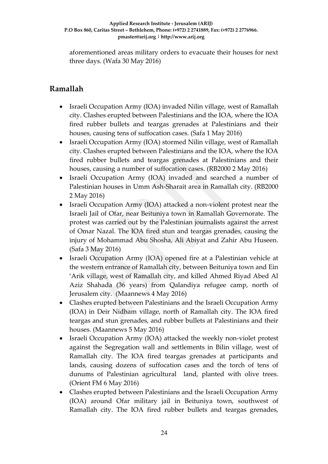aforementioned areas military orders to evacuate their houses for next three days. (Wafa 30 May 2016)

### **Ramallah**

- Israeli Occupation Army (IOA) invaded Nilin village, west of Ramallah city. Clashes erupted between Palestinians and the IOA, where the IOA fired rubber bullets and teargas grenades at Palestinians and their houses, causing tens of suffocation cases. (Safa 1 May 2016)
- Israeli Occupation Army (IOA) stormed Nilin village, west of Ramallah city. Clashes erupted between Palestinians and the IOA, where the IOA fired rubber bullets and teargas grenades at Palestinians and their houses, causing a number of suffocation cases. (RB2000 2 May 2016)
- Israeli Occupation Army (IOA) invaded and searched a number of Palestinian houses in Umm Ash-Sharait area in Ramallah city. (RB2000 2 May 2016)
- Israeli Occupation Army (IOA) attacked a non-violent protest near the Israeli Jail of Ofar, near Beituniya town in Ramallah Governorate. The protest was carried out by the Palestinian journalists against the arrest of Omar Nazal. The IOA fired stun and teargas grenades, causing the injury of Mohammad Abu Shosha, Ali Abiyat and Zahir Abu Huseen. (Safa 3 May 2016)
- Israeli Occupation Army (IOA) opened fire at a Palestinian vehicle at the western entrance of Ramallah city, between Beituniya town and Ein 'Arik village, west of Ramallah city, and killed Ahmed Riyad Abed Al Aziz Shahada (36 years) from Qalandiya refugee camp, north of Jerusalem city. (Maannews 4 May 2016)
- Clashes erupted between Palestinians and the Israeli Occupation Army (IOA) in Deir Nidham village, north of Ramallah city. The IOA fired teargas and stun grenades, and rubber bullets at Palestinians and their houses. (Maannews 5 May 2016)
- Israeli Occupation Army (IOA) attacked the weekly non-violet protest against the Segregation wall and settlements in Bilin village, west of Ramallah city. The IOA fired teargas grenades at participants and lands, causing dozens of suffocation cases and the torch of tens of dunums of Palestinian agricultural land, planted with olive trees. (Orient FM 6 May 2016)
- Clashes erupted between Palestinians and the Israeli Occupation Army (IOA) around Ofar military jail in Beituniya town, southwest of Ramallah city. The IOA fired rubber bullets and teargas grenades,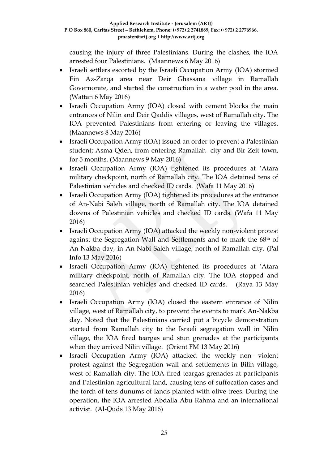causing the injury of three Palestinians. During the clashes, the IOA arrested four Palestinians. (Maannews 6 May 2016)

- Israeli settlers escorted by the Israeli Occupation Army (IOA) stormed Ein Az-Zarqa area near Deir Ghassana village in Ramallah Governorate, and started the construction in a water pool in the area. (Wattan 6 May 2016)
- Israeli Occupation Army (IOA) closed with cement blocks the main entrances of Nilin and Deir Qaddis villages, west of Ramallah city. The IOA prevented Palestinians from entering or leaving the villages. (Maannews 8 May 2016)
- Israeli Occupation Army (IOA) issued an order to prevent a Palestinian student; Asma Qdeh, from entering Ramallah city and Bir Zeit town, for 5 months. (Maannews 9 May 2016)
- Israeli Occupation Army (IOA) tightened its procedures at 'Atara military checkpoint, north of Ramallah city. The IOA detained tens of Palestinian vehicles and checked ID cards. (Wafa 11 May 2016)
- Israeli Occupation Army (IOA) tightened its procedures at the entrance of An-Nabi Saleh village, north of Ramallah city. The IOA detained dozens of Palestinian vehicles and checked ID cards. (Wafa 11 May 2016)
- Israeli Occupation Army (IOA) attacked the weekly non-violent protest against the Segregation Wall and Settlements and to mark the 68<sup>th</sup> of An-Nakba day, in An-Nabi Saleh village, north of Ramallah city. (Pal Info 13 May 2016)
- Israeli Occupation Army (IOA) tightened its procedures at 'Atara military checkpoint, north of Ramallah city. The IOA stopped and searched Palestinian vehicles and checked ID cards.(Raya 13 May 2016)
- Israeli Occupation Army (IOA) closed the eastern entrance of Nilin village, west of Ramallah city, to prevent the events to mark An-Nakba day. Noted that the Palestinians carried put a bicycle demonstration started from Ramallah city to the Israeli segregation wall in Nilin village, the IOA fired teargas and stun grenades at the participants when they arrived Nilin village. (Orient FM 13 May 2016)
- Israeli Occupation Army (IOA) attacked the weekly non- violent protest against the Segregation wall and settlements in Bilin village, west of Ramallah city. The IOA fired teargas grenades at participants and Palestinian agricultural land, causing tens of suffocation cases and the torch of tens dunums of lands planted with olive trees. During the operation, the IOA arrested Abdalla Abu Rahma and an international activist. (Al-Quds 13 May 2016)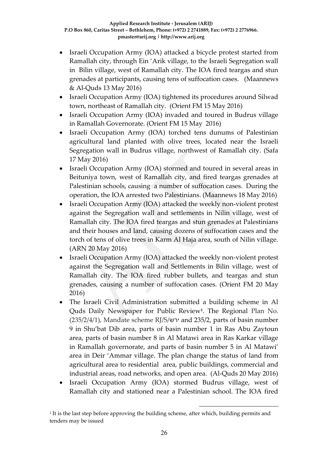- Israeli Occupation Army (IOA) attacked a bicycle protest started from Ramallah city, through Ein 'Arik village, to the Israeli Segregation wall in Bilin village, west of Ramallah city. The IOA fired teargas and stun grenades at participants, causing tens of suffocation cases. (Maannews & Al-Quds 13 May 2016)
- Israeli Occupation Army (IOA) tightened its procedures around Silwad town, northeast of Ramallah city. (Orient FM 15 May 2016)
- Israeli Occupation Army (IOA) invaded and toured in Budrus village in Ramallah Governorate. (Orient FM 15 May 2016)
- Israeli Occupation Army (IOA) torched tens dunums of Palestinian agricultural land planted with olive trees, located near the Israeli Segregation wall in Budrus village, northwest of Ramallah city. (Safa 17 May 2016)
- Israeli Occupation Army (IOA) stormed and toured in several areas in Beituniya town, west of Ramallah city, and fired teargas grenades at Palestinian schools, causing a number of suffocation cases. During the operation, the IOA arrested two Palestinians. (Maannews 18 May 2016)
- Israeli Occupation Army (IOA) attacked the weekly non-violent protest against the Segregation wall and settlements in Nilin village, west of Ramallah city. The IOA fired teargas and stun grenades at Palestinians and their houses and land, causing dozens of suffocation cases and the torch of tens of olive trees in Karm Al Haja area, south of Nilin village. (ARN 20 May 2016)
- Israeli Occupation Army (IOA) attacked the weekly non-violent protest against the Segregation wall and Settlements in Bilin village, west of Ramallah city. The IOA fired rubber bullets, and teargas and stun grenades, causing a number of suffocation cases. (Orient FM 20 May 2016)
- The Israeli Civil Administration submitted a building scheme in Al Quds Daily Newspaper for Public Review**<sup>1</sup>** . The Regional Plan No. (235/2/4/1), Mandate scheme RJ/S/ירש and 235/2, parts of basin number 9 in Shu'bat Dib area, parts of basin number 1 in Ras Abu Zaytoun area, parts of basin number 8 in Al Matawi area in Ras Karkar village in Ramallah governorate, and parts of basin number 5 in Al Matawi' area in Deir 'Ammar village. The plan change the status of land from agricultural area to residential area, public buildings, commercial and industrial areas, road networks, and open area. (Al-Quds 20 May 2016)
- Israeli Occupation Army (IOA) stormed Budrus village, west of Ramallah city and stationed near a Palestinian school. The IOA fired

1

<sup>1</sup> It is the last step before approving the building scheme, after which, building permits and tenders may be issued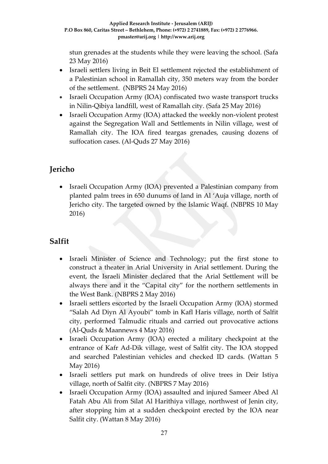stun grenades at the students while they were leaving the school. (Safa 23 May 2016)

- Israeli settlers living in Beit El settlement rejected the establishment of a Palestinian school in Ramallah city, 350 meters way from the border of the settlement. (NBPRS 24 May 2016)
- Israeli Occupation Army (IOA) confiscated two waste transport trucks in Nilin-Qibiya landfill, west of Ramallah city. (Safa 25 May 2016)
- Israeli Occupation Army (IOA) attacked the weekly non-violent protest against the Segregation Wall and Settlements in Nilin village, west of Ramallah city. The IOA fired teargas grenades, causing dozens of suffocation cases. (Al-Quds 27 May 2016)

## **Jericho**

• Israeli Occupation Army (IOA) prevented a Palestinian company from planted palm trees in 650 dunums of land in Al 'Auja village, north of Jericho city. The targeted owned by the Islamic Waqf. (NBPRS 10 May 2016)

## **Salfit**

- Israeli Minister of Science and Technology; put the first stone to construct a theater in Arial University in Arial settlement. During the event, the Israeli Minister declared that the Arial Settlement will be always there and it the "Capital city" for the northern settlements in the West Bank. (NBPRS 2 May 2016)
- Israeli settlers escorted by the Israeli Occupation Army (IOA) stormed "Salah Ad Diyn Al Ayoubi" tomb in Kafl Haris village, north of Salfit city, performed Talmudic rituals and carried out provocative actions (Al-Quds & Maannews 4 May 2016)
- Israeli Occupation Army (IOA) erected a military checkpoint at the entrance of Kafr Ad-Dik village, west of Salfit city. The IOA stopped and searched Palestinian vehicles and checked ID cards. (Wattan 5 May 2016)
- Israeli settlers put mark on hundreds of olive trees in Deir Istiya village, north of Salfit city. (NBPRS 7 May 2016)
- Israeli Occupation Army (IOA) assaulted and injured Sameer Abed Al Fatah Abu Ali from Silat Al Harithiya village, northwest of Jenin city, after stopping him at a sudden checkpoint erected by the IOA near Salfit city. (Wattan 8 May 2016)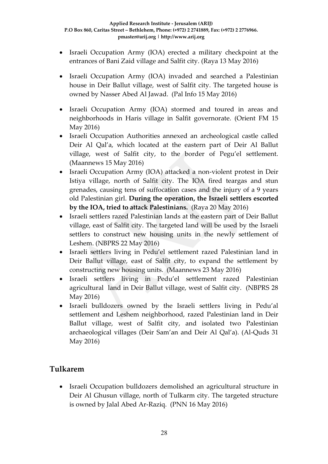- Israeli Occupation Army (IOA) erected a military checkpoint at the entrances of Bani Zaid village and Salfit city. (Raya 13 May 2016)
- Israeli Occupation Army (IOA) invaded and searched a Palestinian house in Deir Ballut village, west of Salfit city. The targeted house is owned by Nasser Abed Al Jawad. (Pal Info 15 May 2016)
- Israeli Occupation Army (IOA) stormed and toured in areas and neighborhoods in Haris village in Salfit governorate. (Orient FM 15 May 2016)
- Israeli Occupation Authorities annexed an archeological castle called Deir Al Qal'a, which located at the eastern part of Deir Al Ballut village, west of Salfit city, to the border of Pegu'el settlement. (Maannews 15 May 2016)
- Israeli Occupation Army (IOA) attacked a non-violent protest in Deir Istiya village, north of Salfit city. The IOA fired teargas and stun grenades, causing tens of suffocation cases and the injury of a 9 years old Palestinian girl. **During the operation, the Israeli settlers escorted by the IOA, tried to attack Palestinians.** (Raya 20 May 2016)
- Israeli settlers razed Palestinian lands at the eastern part of Deir Ballut village, east of Salfit city. The targeted land will be used by the Israeli settlers to construct new housing units in the newly settlement of Leshem. (NBPRS 22 May 2016)
- Israeli settlers living in Pedu'el settlement razed Palestinian land in Deir Ballut village, east of Salfit city, to expand the settlement by constructing new housing units. (Maannews 23 May 2016)
- Israeli settlers living in Pedu'el settlement razed Palestinian agricultural land in Deir Ballut village, west of Salfit city. (NBPRS 28 May 2016)
- Israeli bulldozers owned by the Israeli settlers living in Pedu'al settlement and Leshem neighborhood, razed Palestinian land in Deir Ballut village, west of Salfit city, and isolated two Palestinian archaeological villages (Deir Sam'an and Deir Al Qal'a). (Al-Quds 31 May 2016)

### **Tulkarem**

 Israeli Occupation bulldozers demolished an agricultural structure in Deir Al Ghusun village, north of Tulkarm city. The targeted structure is owned by Jalal Abed Ar-Raziq. (PNN 16 May 2016)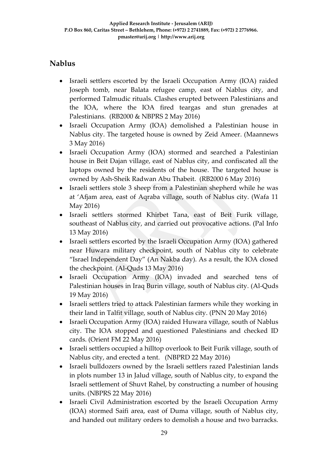## **Nablus**

- Israeli settlers escorted by the Israeli Occupation Army (IOA) raided Joseph tomb, near Balata refugee camp, east of Nablus city, and performed Talmudic rituals. Clashes erupted between Palestinians and the IOA, where the IOA fired teargas and stun grenades at Palestinians. (RB2000 & NBPRS 2 May 2016)
- Israeli Occupation Army (IOA) demolished a Palestinian house in Nablus city. The targeted house is owned by Zeid Ameer. (Maannews 3 May 2016)
- Israeli Occupation Army (IOA) stormed and searched a Palestinian house in Beit Dajan village, east of Nablus city, and confiscated all the laptops owned by the residents of the house. The targeted house is owned by Ash-Sheik Radwan Abu Thabeit. (RB2000 6 May 2016)
- Israeli settlers stole 3 sheep from a Palestinian shepherd while he was at 'Afjam area, east of Aqraba village, south of Nablus city. (Wafa 11 May 2016)
- Israeli settlers stormed Khirbet Tana, east of Beit Furik village, southeast of Nablus city, and carried out provocative actions. (Pal Info 13 May 2016)
- Israeli settlers escorted by the Israeli Occupation Army (IOA) gathered near Huwara military checkpoint, south of Nablus city to celebrate "Israel Independent Day" (An Nakba day). As a result, the IOA closed the checkpoint. (Al-Quds 13 May 2016)
- Israeli Occupation Army (IOA) invaded and searched tens of Palestinian houses in Iraq Burin village, south of Nablus city. (Al-Quds 19 May 2016)
- Israeli settlers tried to attack Palestinian farmers while they working in their land in Talfit village, south of Nablus city. (PNN 20 May 2016)
- Israeli Occupation Army (IOA) raided Huwara village, south of Nablus city. The IOA stopped and questioned Palestinians and checked ID cards. (Orient FM 22 May 2016)
- Israeli settlers occupied a hilltop overlook to Beit Furik village, south of Nablus city, and erected a tent. (NBPRD 22 May 2016)
- Israeli bulldozers owned by the Israeli settlers razed Palestinian lands in plots number 13 in Jalud village, south of Nablus city, to expand the Israeli settlement of Shuvt Rahel, by constructing a number of housing units. (NBPRS 22 May 2016)
- Israeli Civil Administration escorted by the Israeli Occupation Army (IOA) stormed Saifi area, east of Duma village, south of Nablus city, and handed out military orders to demolish a house and two barracks.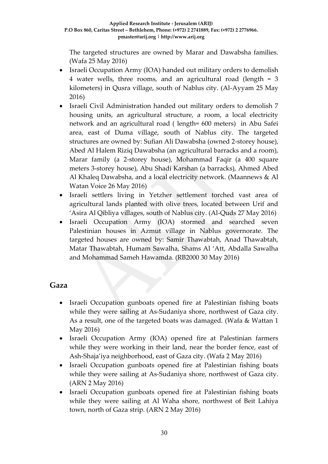The targeted structures are owned by Marar and Dawabsha families. (Wafa 25 May 2016)

- Israeli Occupation Army (IOA) handed out military orders to demolish 4 water wells, three rooms, and an agricultural road (length = 3 kilometers) in Qusra village, south of Nablus city. (Al-Ayyam 25 May 2016)
- Israeli Civil Administration handed out military orders to demolish 7 housing units, an agricultural structure, a room, a local electricity network and an agricultural road ( length= 600 meters) in Abu Safei area, east of Duma village, south of Nablus city. The targeted structures are owned by: Sufian Ali Dawabsha (owned 2-storey house), Abed Al Halem Riziq Dawabsha (an agricultural barracks and a room), Marar family (a 2-storey house), Mohammad Faqir (a 400 square meters 3-storey house), Abu Shadi Karshan (a barracks), Ahmed Abed Al Khaleq Dawabsha, and a local electricity network. (Maannews & Al Watan Voice 26 May 2016)
- Israeli settlers living in Yetzher settlement torched vast area of agricultural lands planted with olive trees, located between Urif and 'Asira Al Qibliya villages, south of Nablus city. (Al-Quds 27 May 2016)
- Israeli Occupation Army (IOA) stormed and searched seven Palestinian houses in Azmut village in Nablus governorate. The targeted houses are owned by: Samir Thawabtah, Anad Thawabtah, Matar Thawabtah, Humam Sawalha, Shams Al 'Att, Abdalla Sawalha and Mohammad Sameh Hawamda. (RB2000 30 May 2016)

### **Gaza**

- Israeli Occupation gunboats opened fire at Palestinian fishing boats while they were sailing at As-Sudaniya shore, northwest of Gaza city. As a result, one of the targeted boats was damaged. (Wafa & Wattan 1 May 2016)
- Israeli Occupation Army (IOA) opened fire at Palestinian farmers while they were working in their land, near the border fence, east of Ash-Shaja'iya neighborhood, east of Gaza city. (Wafa 2 May 2016)
- Israeli Occupation gunboats opened fire at Palestinian fishing boats while they were sailing at As-Sudaniya shore, northwest of Gaza city. (ARN 2 May 2016)
- Israeli Occupation gunboats opened fire at Palestinian fishing boats while they were sailing at Al Waha shore, northwest of Beit Lahiya town, north of Gaza strip. (ARN 2 May 2016)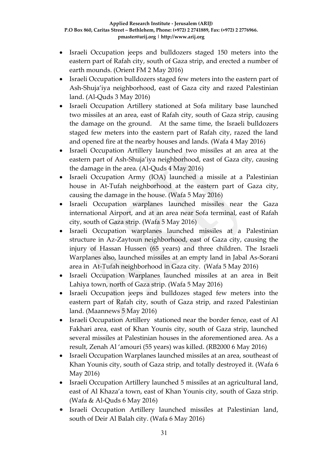- Israeli Occupation jeeps and bulldozers staged 150 meters into the eastern part of Rafah city, south of Gaza strip, and erected a number of earth mounds. (Orient FM 2 May 2016)
- Israeli Occupation bulldozers staged few meters into the eastern part of Ash-Shuja'iya neighborhood, east of Gaza city and razed Palestinian land. (Al-Quds 3 May 2016)
- Israeli Occupation Artillery stationed at Sofa military base launched two missiles at an area, east of Rafah city, south of Gaza strip, causing the damage on the ground. At the same time, the Israeli bulldozers staged few meters into the eastern part of Rafah city, razed the land and opened fire at the nearby houses and lands. (Wafa 4 May 2016)
- Israeli Occupation Artillery launched two missiles at an area at the eastern part of Ash-Shuja'iya neighborhood, east of Gaza city, causing the damage in the area. (Al-Quds 4 May 2016)
- Israeli Occupation Army (IOA) launched a missile at a Palestinian house in At-Tufah neighborhood at the eastern part of Gaza city, causing the damage in the house. (Wafa 5 May 2016)
- Israeli Occupation warplanes launched missiles near the Gaza international Airport, and at an area near Sofa terminal, east of Rafah city, south of Gaza strip. (Wafa 5 May 2016)
- Israeli Occupation warplanes launched missiles at a Palestinian structure in Az-Zaytoun neighborhood, east of Gaza city, causing the injury of Hassan Hussen (65 years) and three children. The Israeli Warplanes also, launched missiles at an empty land in Jabal As-Sorani area in At-Tufah neighborhood in Gaza city. (Wafa 5 May 2016)
- Israeli Occupation Warplanes launched missiles at an area in Beit Lahiya town, north of Gaza strip. (Wafa 5 May 2016)
- Israeli Occupation jeeps and bulldozes staged few meters into the eastern part of Rafah city, south of Gaza strip, and razed Palestinian land. (Maannews 5 May 2016)
- Israeli Occupation Artillery stationed near the border fence, east of Al Fakhari area, east of Khan Younis city, south of Gaza strip, launched several missiles at Palestinian houses in the aforementioned area. As a result, Zenah Al 'amouri (55 years) was killed. (RB2000 6 May 2016)
- Israeli Occupation Warplanes launched missiles at an area, southeast of Khan Younis city, south of Gaza strip, and totally destroyed it. (Wafa 6 May 2016)
- Israeli Occupation Artillery launched 5 missiles at an agricultural land, east of Al Khaza'a town, east of Khan Younis city, south of Gaza strip. (Wafa & Al-Quds 6 May 2016)
- Israeli Occupation Artillery launched missiles at Palestinian land, south of Deir Al Balah city. (Wafa 6 May 2016)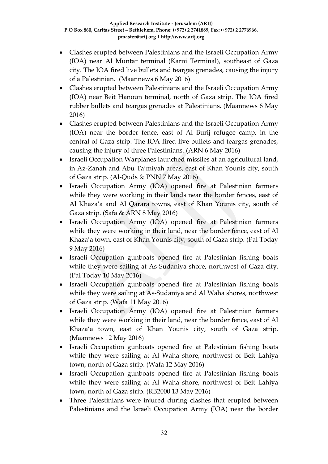- Clashes erupted between Palestinians and the Israeli Occupation Army (IOA) near Al Muntar terminal (Karni Terminal), southeast of Gaza city. The IOA fired live bullets and teargas grenades, causing the injury of a Palestinian. (Maannews 6 May 2016)
- Clashes erupted between Palestinians and the Israeli Occupation Army (IOA) near Beit Hanoun terminal, north of Gaza strip. The IOA fired rubber bullets and teargas grenades at Palestinians. (Maannews 6 May 2016)
- Clashes erupted between Palestinians and the Israeli Occupation Army (IOA) near the border fence, east of Al Burij refugee camp, in the central of Gaza strip. The IOA fired live bullets and teargas grenades, causing the injury of three Palestinians. (ARN 6 May 2016)
- Israeli Occupation Warplanes launched missiles at an agricultural land, in Az-Zanah and Abu Ta'miyah areas, east of Khan Younis city, south of Gaza strip. (Al-Quds & PNN 7 May 2016)
- Israeli Occupation Army (IOA) opened fire at Palestinian farmers while they were working in their lands near the border fences, east of Al Khaza'a and Al Qarara towns, east of Khan Younis city, south of Gaza strip. (Safa & ARN 8 May 2016)
- Israeli Occupation Army (IOA) opened fire at Palestinian farmers while they were working in their land, near the border fence, east of Al Khaza'a town, east of Khan Younis city, south of Gaza strip. (Pal Today 9 May 2016)
- Israeli Occupation gunboats opened fire at Palestinian fishing boats while they were sailing at As-Sudaniya shore, northwest of Gaza city. (Pal Today 10 May 2016)
- Israeli Occupation gunboats opened fire at Palestinian fishing boats while they were sailing at As-Sudaniya and Al Waha shores, northwest of Gaza strip. (Wafa 11 May 2016)
- Israeli Occupation Army (IOA) opened fire at Palestinian farmers while they were working in their land, near the border fence, east of Al Khaza'a town, east of Khan Younis city, south of Gaza strip. (Maannews 12 May 2016)
- Israeli Occupation gunboats opened fire at Palestinian fishing boats while they were sailing at Al Waha shore, northwest of Beit Lahiya town, north of Gaza strip. (Wafa 12 May 2016)
- Israeli Occupation gunboats opened fire at Palestinian fishing boats while they were sailing at Al Waha shore, northwest of Beit Lahiya town, north of Gaza strip. (RB2000 13 May 2016)
- Three Palestinians were injured during clashes that erupted between Palestinians and the Israeli Occupation Army (IOA) near the border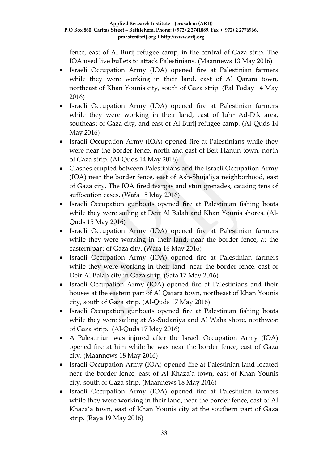fence, east of Al Burij refugee camp, in the central of Gaza strip. The IOA used live bullets to attack Palestinians. (Maannews 13 May 2016)

- Israeli Occupation Army (IOA) opened fire at Palestinian farmers while they were working in their land, east of Al Qarara town, northeast of Khan Younis city, south of Gaza strip. (Pal Today 14 May 2016)
- Israeli Occupation Army (IOA) opened fire at Palestinian farmers while they were working in their land, east of Juhr Ad-Dik area, southeast of Gaza city, and east of Al Burij refugee camp. (Al-Quds 14 May 2016)
- Israeli Occupation Army (IOA) opened fire at Palestinians while they were near the border fence, north and east of Beit Hanun town, north of Gaza strip. (Al-Quds 14 May 2016)
- Clashes erupted between Palestinians and the Israeli Occupation Army (IOA) near the border fence, east of Ash-Shuja'iya neighborhood, east of Gaza city. The IOA fired teargas and stun grenades, causing tens of suffocation cases. (Wafa 15 May 2016)
- Israeli Occupation gunboats opened fire at Palestinian fishing boats while they were sailing at Deir Al Balah and Khan Younis shores. (Al-Quds 15 May 2016)
- Israeli Occupation Army (IOA) opened fire at Palestinian farmers while they were working in their land, near the border fence, at the eastern part of Gaza city. (Wafa 16 May 2016)
- Israeli Occupation Army (IOA) opened fire at Palestinian farmers while they were working in their land, near the border fence, east of Deir Al Balah city in Gaza strip. (Safa 17 May 2016)
- Israeli Occupation Army (IOA) opened fire at Palestinians and their houses at the eastern part of Al Qarara town, northeast of Khan Younis city, south of Gaza strip. (Al-Quds 17 May 2016)
- Israeli Occupation gunboats opened fire at Palestinian fishing boats while they were sailing at As-Sudaniya and Al Waha shore, northwest of Gaza strip. (Al-Quds 17 May 2016)
- A Palestinian was injured after the Israeli Occupation Army (IOA) opened fire at him while he was near the border fence, east of Gaza city. (Maannews 18 May 2016)
- Israeli Occupation Army (IOA) opened fire at Palestinian land located near the border fence, east of Al Khaza'a town, east of Khan Younis city, south of Gaza strip. (Maannews 18 May 2016)
- Israeli Occupation Army (IOA) opened fire at Palestinian farmers while they were working in their land, near the border fence, east of Al Khaza'a town, east of Khan Younis city at the southern part of Gaza strip. (Raya 19 May 2016)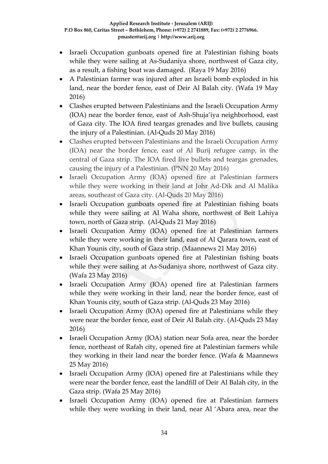- Israeli Occupation gunboats opened fire at Palestinian fishing boats while they were sailing at As-Sudaniya shore, northwest of Gaza city, as a result, a fishing boat was damaged. (Raya 19 May 2016)
- A Palestinian farmer was injured after an Israeli bomb exploded in his land, near the border fence, east of Deir Al Balah city. (Wafa 19 May 2016)
- Clashes erupted between Palestinians and the Israeli Occupation Army (IOA) near the border fence, east of Ash-Shuja'iya neighborhood, east of Gaza city. The IOA fired teargas grenades and live bullets, causing the injury of a Palestinian. (Al-Quds 20 May 2016)
- Clashes erupted between Palestinians and the Israeli Occupation Army (IOA) near the border fence, east of Al Burij refugee camp, in the central of Gaza strip. The IOA fired live bullets and teargas grenades, causing the injury of a Palestinian. (PNN 20 May 2016)
- Israeli Occupation Army (IOA) opened fire at Palestinian farmers while they were working in their land at Johr Ad-Dik and Al Malika areas, southeast of Gaza city. (Al-Quds 20 May 2016)
- Israeli Occupation gunboats opened fire at Palestinian fishing boats while they were sailing at Al Waha shore, northwest of Beit Lahiya town, north of Gaza strip. (Al-Quds 21 May 2016)
- Israeli Occupation Army (IOA) opened fire at Palestinian farmers while they were working in their land, east of Al Qarara town, east of Khan Younis city, south of Gaza strip. (Maannews 21 May 2016)
- Israeli Occupation gunboats opened fire at Palestinian fishing boats while they were sailing at As-Sudaniya shore, northwest of Gaza city. (Wafa 23 May 2016)
- Israeli Occupation Army (IOA) opened fire at Palestinian farmers while they were working in their land, near the border fence, east of Khan Younis city, south of Gaza strip. (Al-Quds 23 May 2016)
- Israeli Occupation Army (IOA) opened fire at Palestinians while they were near the border fence, east of Deir Al Balah city. (Al-Quds 23 May 2016)
- Israeli Occupation Army (IOA) station near Sofa area, near the border fence, northeast of Rafah city, opened fire at Palestinian farmers while they working in their land near the border fence. (Wafa & Maannews 25 May 2016)
- Israeli Occupation Army (IOA) opened fire at Palestinians while they were near the border fence, east the landfill of Deir Al Balah city, in the Gaza strip. (Wafa 25 May 2016)
- Israeli Occupation Army (IOA) opened fire at Palestinian farmers while they were working in their land, near Al 'Abara area, near the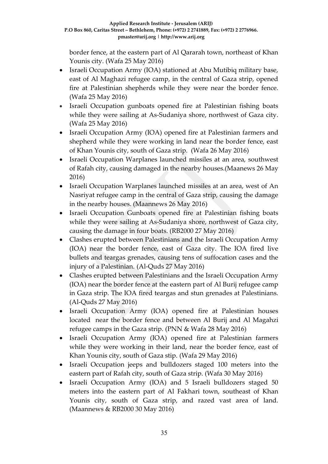border fence, at the eastern part of Al Qararah town, northeast of Khan Younis city. (Wafa 25 May 2016)

- Israeli Occupation Army (IOA) stationed at Abu Mutibiq military base, east of Al Maghazi refugee camp, in the central of Gaza strip, opened fire at Palestinian shepherds while they were near the border fence. (Wafa 25 May 2016)
- Israeli Occupation gunboats opened fire at Palestinian fishing boats while they were sailing at As-Sudaniya shore, northwest of Gaza city. (Wafa 25 May 2016)
- Israeli Occupation Army (IOA) opened fire at Palestinian farmers and shepherd while they were working in land near the border fence, east of Khan Younis city, south of Gaza strip. (Wafa 26 May 2016)
- Israeli Occupation Warplanes launched missiles at an area, southwest of Rafah city, causing damaged in the nearby houses.(Maanews 26 May 2016)
- Israeli Occupation Warplanes launched missiles at an area, west of An Nasriyat refugee camp in the central of Gaza strip, causing the damage in the nearby houses. (Maannews 26 May 2016)
- Israeli Occupation Gunboats opened fire at Palestinian fishing boats while they were sailing at As-Sudaniya shore, northwest of Gaza city, causing the damage in four boats. (RB2000 27 May 2016)
- Clashes erupted between Palestinians and the Israeli Occupation Army (IOA) near the border fence, east of Gaza city. The IOA fired live bullets and teargas grenades, causing tens of suffocation cases and the injury of a Palestinian. (Al-Quds 27 May 2016)
- Clashes erupted between Palestinians and the Israeli Occupation Army (IOA) near the border fence at the eastern part of Al Burij refugee camp in Gaza strip. The IOA fired teargas and stun grenades at Palestinians. (Al-Quds 27 May 2016)
- Israeli Occupation Army (IOA) opened fire at Palestinian houses located near the border fence and between Al Burij and Al Magahzi refugee camps in the Gaza strip. (PNN & Wafa 28 May 2016)
- Israeli Occupation Army (IOA) opened fire at Palestinian farmers while they were working in their land, near the border fence, east of Khan Younis city, south of Gaza stip. (Wafa 29 May 2016)
- Israeli Occupation jeeps and bulldozers staged 100 meters into the eastern part of Rafah city, south of Gaza strip. (Wafa 30 May 2016)
- Israeli Occupation Army (IOA) and 5 Israeli bulldozers staged 50 meters into the eastern part of Al Fakhari town, southeast of Khan Younis city, south of Gaza strip, and razed vast area of land. (Maannews & RB2000 30 May 2016)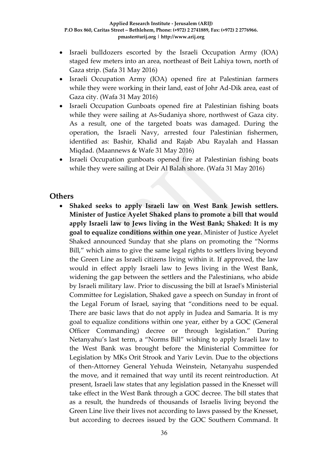- Israeli bulldozers escorted by the Israeli Occupation Army (IOA) staged few meters into an area, northeast of Beit Lahiya town, north of Gaza strip. (Safa 31 May 2016)
- Israeli Occupation Army (IOA) opened fire at Palestinian farmers while they were working in their land, east of Johr Ad-Dik area, east of Gaza city. (Wafa 31 May 2016)
- Israeli Occupation Gunboats opened fire at Palestinian fishing boats while they were sailing at As-Sudaniya shore, northwest of Gaza city. As a result, one of the targeted boats was damaged. During the operation, the Israeli Navy, arrested four Palestinian fishermen, identified as: Bashir, Khalid and Rajab Abu Rayalah and Hassan Miqdad. (Maannews & Wafe 31 May 2016)
- Israeli Occupation gunboats opened fire at Palestinian fishing boats while they were sailing at Deir Al Balah shore. (Wafa 31 May 2016)

#### **Others**

 **Shaked seeks to apply Israeli law on West Bank Jewish settlers. Minister of Justice Ayelet Shaked plans to promote a bill that would apply Israeli law to Jews living in the West Bank; Shaked: It is my goal to equalize conditions within one year.** Minister of Justice Ayelet Shaked announced Sunday that she plans on promoting the "Norms Bill," which aims to give the same legal rights to settlers living beyond the Green Line as Israeli citizens living within it. If approved, the law would in effect apply Israeli law to Jews living in the West Bank, widening the gap between the settlers and the Palestinians, who abide by Israeli military law. Prior to discussing the bill at Israel's Ministerial Committee for Legislation, Shaked gave a speech on Sunday in front of the Legal Forum of Israel, saying that "conditions need to be equal. There are basic laws that do not apply in Judea and Samaria. It is my goal to equalize conditions within one year, either by a GOC (General Officer Commanding) decree or through legislation." During Netanyahu's last term, a "Norms Bill" wishing to apply Israeli law to the West Bank was brought before the Ministerial Committee for Legislation by MKs Orit Strook and Yariv Levin. Due to the objections of then-Attorney General Yehuda Weinstein, Netanyahu suspended the move, and it remained that way until its recent reintroduction. At present, Israeli law states that any legislation passed in the Knesset will take effect in the West Bank through a GOC decree. The bill states that as a result, the hundreds of thousands of Israelis living beyond the Green Line live their lives not according to laws passed by the Knesset, but according to decrees issued by the GOC Southern Command. It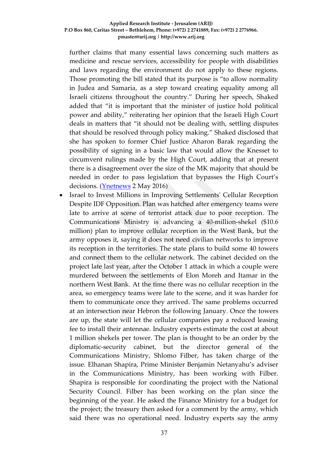further claims that many essential laws concerning such matters as medicine and rescue services, accessibility for people with disabilities and laws regarding the environment do not apply to these regions. Those promoting the bill stated that its purpose is "to allow normality in Judea and Samaria, as a step toward creating equality among all Israeli citizens throughout the country." During her speech, Shaked added that "it is important that the minister of justice hold political power and ability," reiterating her opinion that the Israeli High Court deals in matters that "it should not be dealing with, settling disputes that should be resolved through policy making." Shaked disclosed that she has spoken to former Chief Justice Aharon Barak regarding the possibility of signing in a basic law that would allow the Knesset to circumvent rulings made by the High Court, adding that at present there is a disagreement over the size of the MK majority that should be needed in order to pass legislation that bypasses the High Court's decisions. [\(Ynetnews](http://www.ynetnews.com/articles/0,7340,L-4798296,00.html) 2 May 2016)

 Israel to Invest Millions in Improving Settlements' Cellular Reception Despite IDF Opposition. Plan was hatched after emergency teams were late to arrive at scene of terrorist attack due to poor reception. The Communications Ministry is advancing a 40-million-shekel (\$10.6 million) plan to improve cellular reception in the West Bank, but the army opposes it, saying it does not need civilian networks to improve its reception in the territories. The state plans to build some 40 towers and connect them to the cellular network. The cabinet decided on the project late last year, after the October 1 attack in which a couple were murdered between the settlements of Elon Moreh and Itamar in the northern West Bank. At the time there was no cellular reception in the area, so emergency teams were late to the scene, and it was harder for them to communicate once they arrived. The same problems occurred at an intersection near Hebron the following January. Once the towers are up, the state will let the cellular companies pay a reduced leasing fee to install their antennae. Industry experts estimate the cost at about 1 million shekels per tower. The plan is thought to be an order by the diplomatic-security cabinet, but the director general of the Communications Ministry, Shlomo Filber, has taken charge of the issue. Elhanan Shapira, Prime Minister Benjamin Netanyahu's adviser in the Communications Ministry, has been working with Filber. Shapira is responsible for coordinating the project with the National Security Council. Filber has been working on the plan since the beginning of the year. He asked the Finance Ministry for a budget for the project; the treasury then asked for a comment by the army, which said there was no operational need. Industry experts say the army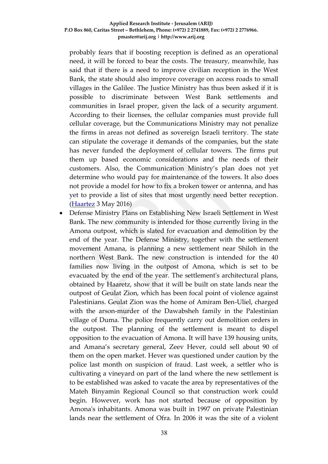probably fears that if boosting reception is defined as an operational need, it will be forced to bear the costs. The treasury, meanwhile, has said that if there is a need to improve civilian reception in the West Bank, the state should also improve coverage on access roads to small villages in the Galilee. The Justice Ministry has thus been asked if it is possible to discriminate between West Bank settlements and communities in Israel proper, given the lack of a security argument. According to their licenses, the cellular companies must provide full cellular coverage, but the Communications Ministry may not penalize the firms in areas not defined as sovereign Israeli territory. The state can stipulate the coverage it demands of the companies, but the state has never funded the deployment of cellular towers. The firms put them up based economic considerations and the needs of their customers. Also, the Communication Ministry's plan does not yet determine who would pay for maintenance of the towers. It also does not provide a model for how to fix a broken tower or antenna, and has yet to provide a list of sites that most urgently need better reception. [\(Haartez](http://www.haaretz.com/israel-news/business/.premium-1.717426) 3 May 2016)

 Defense Ministry Plans on Establishing New Israeli Settlement in West Bank. The new community is intended for those currently living in the Amona outpost, which is slated for evacuation and demolition by the end of the year. The Defense Ministry, together with the settlement movement Amana, is planning a new settlement near Shiloh in the northern West Bank. The new construction is intended for the 40 families now living in the outpost of Amona, which is set to be evacuated by the end of the year. The settlement's architectural plans, obtained by Haaretz, show that it will be built on state lands near the outpost of Geulat Zion, which has been focal point of violence against Palestinians. Geulat Zion was the home of Amiram Ben-Uliel, charged with the arson-murder of the Dawabsheh family in the Palestinian village of Duma. The police frequently carry out demolition orders in the outpost. The planning of the settlement is meant to dispel opposition to the evacuation of Amona. It will have 139 housing units, and Amana's secretary general, Zeev Hever, could sell about 90 of them on the open market. Hever was questioned under caution by the police last month on suspicion of fraud. Last week, a settler who is cultivating a vineyard on part of the land where the new settlement is to be established was asked to vacate the area by representatives of the Mateh Binyamin Regional Council so that construction work could begin. However, work has not started because of opposition by Amona's inhabitants. Amona was built in 1997 on private Palestinian lands near the settlement of Ofra. In 2006 it was the site of a violent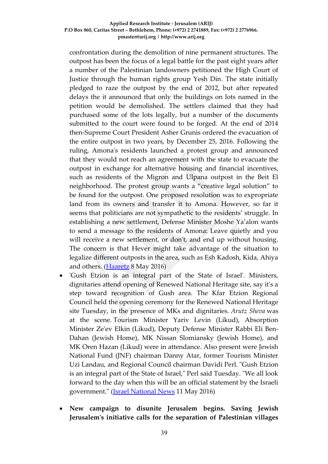confrontation during the demolition of nine permanent structures. The outpost has been the focus of a legal battle for the past eight years after a number of the Palestinian landowners petitioned the High Court of Justice through the human rights group Yesh Din. The state initially pledged to raze the outpost by the end of 2012, but after repeated delays the it announced that only the buildings on lots named in the petition would be demolished. The settlers claimed that they had purchased some of the lots legally, but a number of the documents submitted to the court were found to be forged. At the end of 2014 then-Supreme Court President Asher Grunis ordered the evacuation of the entire outpost in two years, by December 25, 2016. Following the ruling, Amona's residents launched a protest group and announced that they would not reach an agreement with the state to evacuate the outpost in exchange for alternative housing and financial incentives, such as residents of the Migron and Ulpana outpost in the Beit El neighborhood. The protest group wants a "creative legal solution" to be found for the outpost. One proposed resolution was to expropriate land from its owners and transfer it to Amona. However, so far it seems that politicians are not sympathetic to the residents' struggle. In establishing a new settlement, Defense Minister Moshe Ya'alon wants to send a message to the residents of Amona: Leave quietly and you will receive a new settlement, or don't, and end up without housing. The concern is that Hever might take advantage of the situation to legalize different outposts in the area, such as Esh Kadosh, Kida, Ahiya and others. [\(Haaretz](http://www.haaretz.com/israel-news/.premium-1.718424) 8 May 2016)

- 'Gush Etzion is an integral part of the State of Israel'. Ministers, dignitaries attend opening of Renewed National Heritage site, say it's a step toward recognition of Gush area. The Kfar Etzion Regional Council held the opening ceremony for the Renewed National Heritage site Tuesday, in the presence of MKs and dignitaries. *Arutz Sheva* was at the scene. Tourism Minister Yariv Levin (Likud), Absorption Minister Ze'ev Elkin (Likud), Deputy Defense Minister Rabbi Eli Ben-Dahan (Jewish Home), MK Nissan Slomiansky (Jewish Home), and MK Oren Hazan (Likud) were in attendance. Also present were Jewish National Fund (JNF) chairman Danny Atar, former Tourism Minister Uzi Landau, and Regional Council chairman Davidi Perl. "Gush Etzion is an integral part of the State of Israel," Perl said Tuesday. "We all look forward to the day when this will be an official statement by the Israeli government." [\(Israel National News](http://www.israelnationalnews.com/News/News.aspx/212069#.VzLOw4R94dV) 11 May 2016)
- **New campaign to disunite Jerusalem begins. Saving Jewish Jerusalem's initiative calls for the separation of Palestinian villages**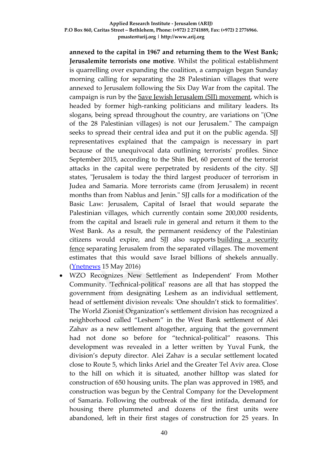**annexed to the capital in 1967 and returning them to the West Bank; Jerusalemite terrorists one motive**. Whilst the political establishment is quarrelling over expanding the coalition, a campaign began Sunday morning calling for separating the 28 Palestinian villages that were annexed to Jerusalem following the Six Day War from the capital. The campaign is run by the [Save Jewish Jerusalem \(SJJ\) movement,](http://www.ynetnews.com/articles/0,7340,L-4780809,00.html) which is headed by former high-ranking politicians and military leaders. Its slogans, being spread throughout the country, are variations on "(One of the 28 Palestinian villages) is not our Jerusalem." The campaign seeks to spread their central idea and put it on the public agenda. SJJ representatives explained that the campaign is necessary in part because of the unequivocal data outlining terrorists' profiles. Since September 2015, according to the Shin Bet, 60 percent of the terrorist attacks in the capital were perpetrated by residents of the city. SJJ states, "Jerusalem is today the third largest producer of terrorism in Judea and Samaria. More terrorists came (from Jerusalem) in recent months than from Nablus and Jenin." SJJ calls for a modification of the Basic Law: Jerusalem, Capital of Israel that would separate the Palestinian villages, which currently contain some 200,000 residents, from the capital and Israeli rule in general and return it them to the West Bank. As a result, the permanent residency of the Palestinian citizens would expire, and SJJ also supports [building a security](http://www.ynetnews.com/articles/0,7340,L-4776781,00.html)  [fence](http://www.ynetnews.com/articles/0,7340,L-4776781,00.html) separating Jerusalem from the separated villages. The movement estimates that this would save Israel billions of shekels annually. [\(Ynetnews](http://www.ynetnews.com/articles/0,7340,L-4803177,00.html) 15 May 2016)

 WZO Recognizes New Settlement as Independent' From Mother Community. 'Technical-political' reasons are all that has stopped the government from designating Leshem as an individual settlement, head of settlement division reveals: 'One shouldn't stick to formalities'. The World Zionist Organization's settlement division has recognized a neighborhood called "Leshem" in the West Bank settlement of Alei Zahav as a new settlement altogether, arguing that the government had not done so before for "technical-political" reasons. This development was revealed in a letter written by Yuval Funk, the division's deputy director. Alei Zahav is a secular settlement located close to Route 5, which links Ariel and the Greater Tel Aviv area. Close to the hill on which it is situated, another hilltop was slated for construction of 650 housing units. The plan was approved in 1985, and construction was begun by the Central Company for the Development of Samaria. Following the outbreak of the first intifada, demand for housing there plummeted and dozens of the first units were abandoned, left in their first stages of construction for 25 years. In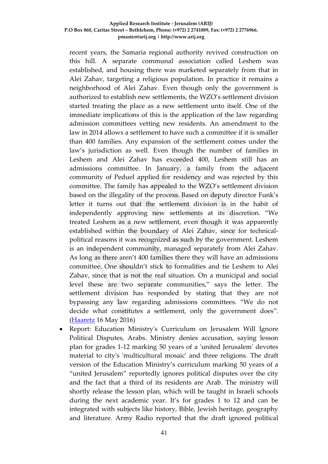recent years, the Samaria regional authority revived construction on this hill. A separate communal association called Leshem was established, and housing there was marketed separately from that in Alei Zahav, targeting a religious population. In practice it remains a neighborhood of Alei Zahav. Even though only the government is authorized to establish new settlements, the WZO's settlement division started treating the place as a new settlement unto itself. One of the immediate implications of this is the application of the law regarding admission committees vetting new residents. An amendment to the law in 2014 allows a settlement to have such a committee if it is smaller than 400 families. Any expansion of the settlement comes under the law's jurisdiction as well. Even though the number of families in Leshem and Alei Zahav has exceeded 400, Leshem still has an admissions committee. In January, a family from the adjacent community of Peduel applied for residency and was rejected by this committee. The family has appealed to the WZO's settlement division based on the illegality of the process. Based on deputy director Funk's letter it turns out that the settlement division is in the habit of independently approving new settlements at its discretion. "We treated Leshem as a new settlement, even though it was apparently established within the boundary of Alei Zahav, since for technicalpolitical reasons it was recognized as such by the government. Leshem is an independent community, managed separately from Alei Zahav. As long as there aren't 400 families there they will have an admissions committee. One shouldn't stick to formalities and tie Leshem to Alei Zahav, since that is not the real situation. On a municipal and social level these are two separate communities," says the letter. The settlement division has responded by stating that they are not bypassing any law regarding admissions committees. "We do not decide what constitutes a settlement, only the government does". [\(Haaretz](http://www.haaretz.com/israel-news/.premium-1.719768) 16 May 2016)

 Report: Education Ministry's Curriculum on Jerusalem Will Ignore Political Disputes, Arabs. Ministry denies accusation, saying lesson plan for grades 1-12 marking 50 years of a 'united Jerusalem' devotes material to city's 'multicultural mosaic' and three religions. The draft version of the Education Ministry's curriculum marking 50 years of a "united Jerusalem" reportedly ignores political disputes over the city and the fact that a third of its residents are Arab. The ministry will shortly release the lesson plan, which will be taught in Israeli schools during the next academic year. It's for grades 1 to 12 and can be integrated with subjects like history, Bible, Jewish heritage, geography and literature. Army Radio reported that the draft ignored political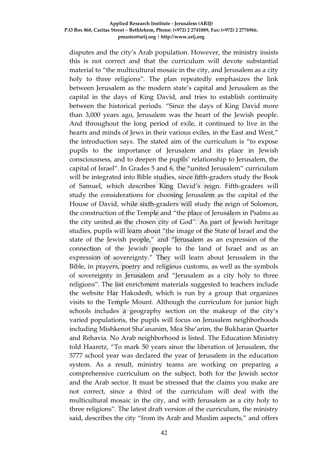disputes and the city's Arab population. However, the ministry insists this is not correct and that the curriculum will devote substantial material to "the multicultural mosaic in the city, and Jerusalem as a city holy to three religions". The plan repeatedly emphasizes the link between Jerusalem as the modern state's capital and Jerusalem as the capital in the days of King David, and tries to establish continuity between the historical periods. "Since the days of King David more than 3,000 years ago, Jerusalem was the heart of the Jewish people. And throughout the long period of exile, it continued to live in the hearts and minds of Jews in their various exiles, in the East and West," the introduction says. The stated aim of the curriculum is "to expose pupils to the importance of Jerusalem and its place in Jewish consciousness, and to deepen the pupils' relationship to Jerusalem, the capital of Israel". In Grades 5 and 6, the "united Jerusalem" curriculum will be integrated into Bible studies, since fifth-graders study the Book of Samuel, which describes King David's reign. Fifth-graders will study the considerations for choosing Jerusalem as the capital of the House of David, while sixth-graders will study the reign of Solomon, the construction of the Temple and "the place of Jerusalem in Psalms as the city united as the chosen city of God". As part of Jewish heritage studies, pupils will learn about "the image of the State of Israel and the state of the Jewish people," and "Jerusalem as an expression of the connection of the Jewish people to the land of Israel and as an expression of sovereignty." They will learn about Jerusalem in the Bible, in prayers, poetry and religious customs, as well as the symbols of sovereignty in Jerusalem and "Jerusalem as a city holy to three religions". The list enrichment materials suggested to teachers include the website Har Hakodesh, which is run by a group that organizes visits to the Temple Mount. Although the curriculum for junior high schools includes a geography section on the makeup of the city's varied populations, the pupils will focus on Jerusalem neighborhoods including Mishkenot Sha'ananim, Mea She'arim, the Bukharan Quarter and Rehavia. No Arab neighborhood is listed. The Education Ministry told Haaretz, "To mark 50 years since the liberation of Jerusalem, the 5777 school year was declared the year of Jerusalem in the education system. As a result, ministry teams are working on preparing a comprehensive curriculum on the subject, both for the Jewish sector and the Arab sector. It must be stressed that the claims you make are not correct, since a third of the curriculum will deal with the multicultural mosaic in the city, and with Jerusalem as a city holy to three religions". The latest draft version of the curriculum, the ministry said, describes the city "from its Arab and Muslim aspects," and offers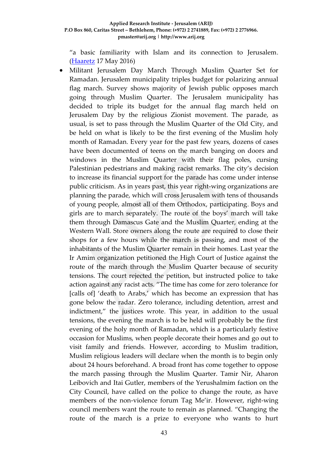"a basic familiarity with Islam and its connection to Jerusalem. [\(Haaretz](http://www.haaretz.com/israel-news/.premium-1.719928) 17 May 2016)

 Militant Jerusalem Day March Through Muslim Quarter Set for Ramadan. Jerusalem municipality triples budget for polarizing annual flag march. Survey shows majority of Jewish public opposes march going through Muslim Quarter. The Jerusalem municipality has decided to triple its budget for the annual flag march held on Jerusalem Day by the religious Zionist movement. The parade, as usual, is set to pass through the Muslim Quarter of the Old City, and be held on what is likely to be the first evening of the Muslim holy month of Ramadan. Every year for the past few years, dozens of cases have been documented of teens on the march banging on doors and windows in the Muslim Quarter with their flag poles, cursing Palestinian pedestrians and making racist remarks. The city's decision to increase its financial support for the parade has come under intense public criticism. As in years past, this year right-wing organizations are planning the parade, which will cross Jerusalem with tens of thousands of young people, almost all of them Orthodox, participating. Boys and girls are to march separately. The route of the boys' march will take them through Damascus Gate and the Muslim Quarter, ending at the Western Wall. Store owners along the route are required to close their shops for a few hours while the march is passing, and most of the inhabitants of the Muslim Quarter remain in their homes. Last year the Ir Amim organization petitioned the High Court of Justice against the route of the march through the Muslim Quarter because of security tensions. The court rejected the petition, but instructed police to take action against any racist acts. "The time has come for zero tolerance for [calls of] 'death to Arabs,' which has become an expression that has gone below the radar. Zero tolerance, including detention, arrest and indictment," the justices wrote. This year, in addition to the usual tensions, the evening the march is to be held will probably be the first evening of the holy month of Ramadan, which is a particularly festive occasion for Muslims, when people decorate their homes and go out to visit family and friends. However, according to Muslim tradition, Muslim religious leaders will declare when the month is to begin only about 24 hours beforehand. A broad front has come together to oppose the march passing through the Muslim Quarter. Tamir Nir, Aharon Leibovich and Itai Gutler, members of the Yerushalmim faction on the City Council, have called on the police to change the route, as have members of the non-violence forum Tag Me'ir. However, right-wing council members want the route to remain as planned. "Changing the route of the march is a prize to everyone who wants to hurt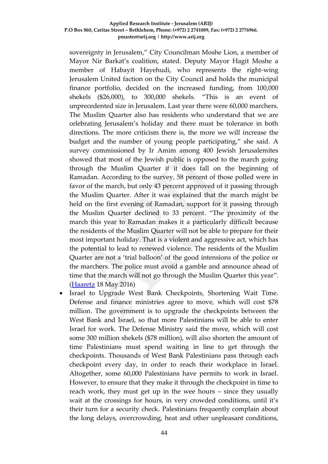sovereignty in Jerusalem," City Councilman Moshe Lion, a member of Mayor Nir Barkat's coalition, stated. Deputy Mayor Hagit Moshe a member of Habayit Hayehudi, who represents the right-wing Jerusalem United faction on the City Council and holds the municipal finance portfolio, decided on the increased funding, from 100,000 shekels (\$26,000), to 300,000 shekels. "This is an event of unprecedented size in Jerusalem. Last year there were 60,000 marchers. The Muslim Quarter also has residents who understand that we are celebrating Jerusalem's holiday and there must be tolerance in both directions. The more criticism there is, the more we will increase the budget and the number of young people participating," she said. A survey commissioned by Ir Amim among 400 Jewish Jerusalemites showed that most of the Jewish public is opposed to the march going through the Muslim Quarter if it does fall on the beginning of Ramadan. According to the survey, 58 percent of those polled were in favor of the march, but only 43 percent approved of it passing through the Muslim Quarter. After it was explained that the march might be held on the first evening of Ramadan, support for it passing through the Muslim Quarter declined to 33 percent. "The proximity of the march this year to Ramadan makes it a particularly difficult because the residents of the Muslim Quarter will not be able to prepare for their most important holiday. That is a violent and aggressive act, which has the potential to lead to renewed violence. The residents of the Muslim Quarter are not a 'trial balloon' of the good intensions of the police or the marchers. The police must avoid a gamble and announce ahead of time that the march will not go through the Muslim Quarter this year". [\(Haaretz](http://www.haaretz.com/israel-news/.premium-1.720161) 18 May 2016)

• Israel to Upgrade West Bank Checkpoints, Shortening Wait Time. Defense and finance ministries agree to move, which will cost \$78 million. The government is to upgrade the checkpoints between the West Bank and Israel, so that more Palestinians will be able to enter Israel for work. The Defense Ministry said the move, which will cost some 300 million shekels (\$78 million), will also shorten the amount of time Palestinians must spend waiting in line to get through the checkpoints. Thousands of West Bank Palestinians pass through each checkpoint every day, in order to reach their workplace in Israel. Altogether, some 60,000 Palestinians have permits to work in Israel. However, to ensure that they make it through the checkpoint in time to reach work, they must get up in the wee hours – since they usually wait at the crossings for hours, in very crowded conditions, until it's their turn for a security check. Palestinians frequently complain about the long delays, overcrowding, heat and other unpleasant conditions,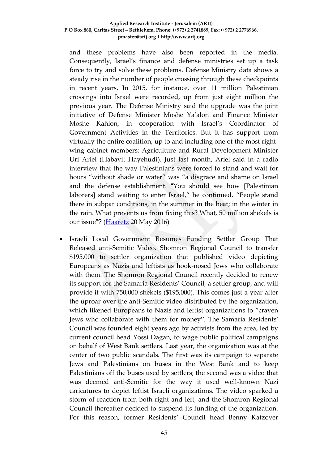and these problems have also been reported in the media. Consequently, Israel's finance and defense ministries set up a task force to try and solve these problems. Defense Ministry data shows a steady rise in the number of people crossing through these checkpoints in recent years. In 2015, for instance, over 11 million Palestinian crossings into Israel were recorded, up from just eight million the previous year. The Defense Ministry said the upgrade was the joint initiative of Defense Minister Moshe Ya'alon and Finance Minister Moshe Kahlon, in cooperation with Israel's Coordinator of Government Activities in the Territories. But it has support from virtually the entire coalition, up to and including one of the most rightwing cabinet members: Agriculture and Rural Development Minister Uri Ariel (Habayit Hayehudi). Just last month, Ariel said in a radio interview that the way Palestinians were forced to stand and wait for hours "without shade or water" was "a disgrace and shame on Israel and the defense establishment. "You should see how [Palestinian laborers] stand waiting to enter Israel," he continued. "People stand there in subpar conditions, in the summer in the heat; in the winter in the rain. What prevents us from fixing this? What, 50 million shekels is our issue"? [\(Haaretz](http://www.haaretz.com/israel-news/1.720596) 20 May 2016)

 Israeli Local Government Resumes Funding Settler Group That Released anti-Semitic Video. Shomron Regional Council to transfer \$195,000 to settler organization that published video depicting Europeans as Nazis and leftists as hook-nosed Jews who collaborate with them. The Shomron Regional Council recently decided to renew its support for the Samaria Residents' Council, a settler group, and will provide it with 750,000 shekels (\$195,000). This comes just a year after the uproar over the anti-Semitic video distributed by the organization, which likened Europeans to Nazis and leftist organizations to "craven Jews who collaborate with them for money". The Samaria Residents' Council was founded eight years ago by activists from the area, led by current council head Yossi Dagan, to wage public political campaigns on behalf of West Bank settlers. Last year, the organization was at the center of two public scandals. The first was its campaign to separate Jews and Palestinians on buses in the West Bank and to keep Palestinians off the buses used by settlers; the second was a video that was deemed anti-Semitic for the way it used well-known Nazi caricatures to depict leftist Israeli organizations. The video sparked a storm of reaction from both right and left, and the Shomron Regional Council thereafter decided to suspend its funding of the organization. For this reason, former Residents' Council head Benny Katzover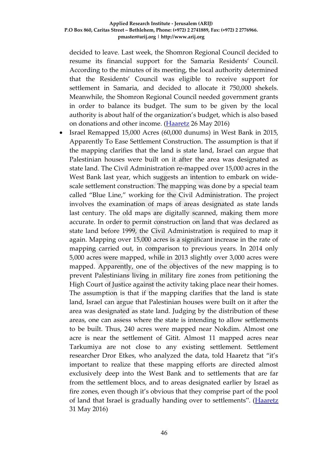decided to leave. Last week, the Shomron Regional Council decided to resume its financial support for the Samaria Residents' Council. According to the minutes of its meeting, the local authority determined that the Residents' Council was eligible to receive support for settlement in Samaria, and decided to allocate it 750,000 shekels. Meanwhile, the Shomron Regional Council needed government grants in order to balance its budget. The sum to be given by the local authority is about half of the organization's budget, which is also based on donations and other income. [\(Haaretz](http://www.haaretz.com/israel-news/.premium-1.721429) 26 May 2016)

 Israel Remapped 15,000 Acres (60,000 dunums) in West Bank in 2015, Apparently To Ease Settlement Construction. The assumption is that if the mapping clarifies that the land is state land, Israel can argue that Palestinian houses were built on it after the area was designated as state land. The Civil Administration re-mapped over 15,000 acres in the West Bank last year, which suggests an intention to embark on widescale settlement construction. The mapping was done by a special team called "Blue Line," working for the Civil Administration. The project involves the examination of maps of areas designated as state lands last century. The old maps are digitally scanned, making them more accurate. In order to permit construction on land that was declared as state land before 1999, the Civil Administration is required to map it again. Mapping over 15,000 acres is a significant increase in the rate of mapping carried out, in comparison to previous years. In 2014 only 5,000 acres were mapped, while in 2013 slightly over 3,000 acres were mapped. Apparently, one of the objectives of the new mapping is to prevent Palestinians living in military fire zones from petitioning the High Court of Justice against the activity taking place near their homes. The assumption is that if the mapping clarifies that the land is state land, Israel can argue that Palestinian houses were built on it after the area was designated as state land. Judging by the distribution of these areas, one can assess where the state is intending to allow settlements to be built. Thus, 240 acres were mapped near Nokdim. Almost one acre is near the settlement of Gitit. Almost 11 mapped acres near Tarkumiya are not close to any existing settlement. Settlement researcher Dror Etkes, who analyzed the data, told Haaretz that "it's important to realize that these mapping efforts are directed almost exclusively deep into the West Bank and to settlements that are far from the settlement blocs, and to areas designated earlier by Israel as fire zones, even though it's obvious that they comprise part of the pool of land that Israel is gradually handing over to settlements". [\(Haaretz](http://www.haaretz.com/israel-news/.premium-1.722395) 31 May 2016)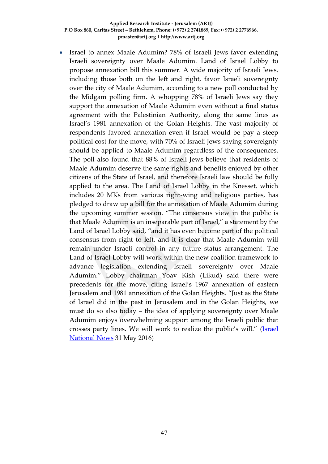Israel to annex Maale Adumim? 78% of Israeli Jews favor extending Israeli sovereignty over Maale Adumim. Land of Israel Lobby to propose annexation bill this summer. A wide majority of Israeli Jews, including those both on the left and right, favor Israeli sovereignty over the city of Maale Adumim, according to a new poll conducted by the Midgam polling firm. A whopping 78% of Israeli Jews say they support the annexation of Maale Adumim even without a final status agreement with the Palestinian Authority, along the same lines as Israel's 1981 annexation of the Golan Heights. The vast majority of respondents favored annexation even if Israel would be pay a steep political cost for the move, with 70% of Israeli Jews saying sovereignty should be applied to Maale Adumim regardless of the consequences. The poll also found that 88% of Israeli Jews believe that residents of Maale Adumim deserve the same rights and benefits enjoyed by other citizens of the State of Israel, and therefore Israeli law should be fully applied to the area. The Land of Israel Lobby in the Knesset, which includes 20 MKs from various right-wing and religious parties, has pledged to draw up a bill for the annexation of Maale Adumim during the upcoming summer session. "The consensus view in the public is that Maale Adumim is an inseparable part of Israel," a statement by the Land of Israel Lobby said, "and it has even become part of the political consensus from right to left, and it is clear that Maale Adumim will remain under Israeli control in any future status arrangement. The Land of Israel Lobby will work within the new coalition framework to advance legislation extending Israeli sovereignty over Maale Adumim." Lobby chairman Yoav Kish (Likud) said there were precedents for the move, citing Israel's 1967 annexation of eastern Jerusalem and 1981 annexation of the Golan Heights. "Just as the State of Israel did in the past in Jerusalem and in the Golan Heights, we must do so also today – the idea of applying sovereignty over Maale Adumim enjoys overwhelming support among the Israeli public that crosses party lines. We will work to realize the public's will." [\(Israel](http://www.israelnationalnews.com/News/News.aspx/213036#.V00xDPl94dV)  [National News](http://www.israelnationalnews.com/News/News.aspx/213036#.V00xDPl94dV) 31 May 2016)